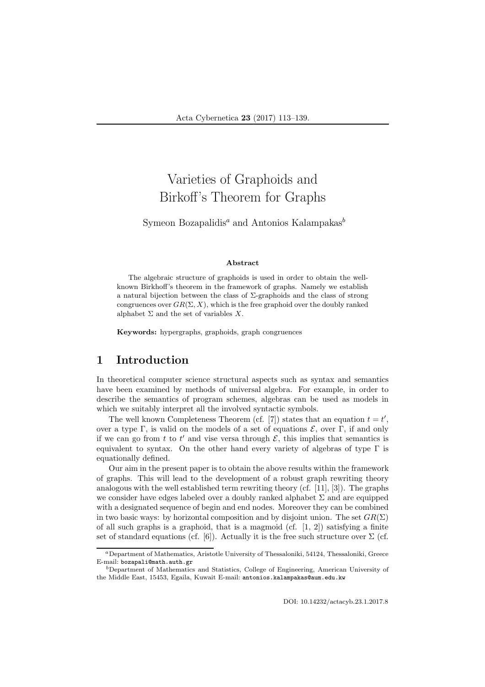# Varieties of Graphoids and Birkoff's Theorem for Graphs

Symeon Bozapalidis<sup>a</sup> and Antonios Kalampakas<sup>b</sup>

#### Abstract

The algebraic structure of graphoids is used in order to obtain the wellknown Birkhoff's theorem in the framework of graphs. Namely we establish a natural bijection between the class of  $\Sigma$ -graphoids and the class of strong congruences over  $GR(\Sigma, X)$ , which is the free graphoid over the doubly ranked alphabet  $\Sigma$  and the set of variables X.

Keywords: hypergraphs, graphoids, graph congruences

# 1 Introduction

In theoretical computer science structural aspects such as syntax and semantics have been examined by methods of universal algebra. For example, in order to describe the semantics of program schemes, algebras can be used as models in which we suitably interpret all the involved syntactic symbols.

The well known Completeness Theorem (cf. [7]) states that an equation  $t = t'$ , over a type Γ, is valid on the models of a set of equations  $\mathcal{E}$ , over Γ, if and only if we can go from t to t' and vise versa through  $\mathcal{E}$ , this implies that semantics is equivalent to syntax. On the other hand every variety of algebras of type  $\Gamma$  is equationally defined.

Our aim in the present paper is to obtain the above results within the framework of graphs. This will lead to the development of a robust graph rewriting theory analogous with the well established term rewriting theory (cf. [11], [3]). The graphs we consider have edges labeled over a doubly ranked alphabet  $\Sigma$  and are equipped with a designated sequence of begin and end nodes. Moreover they can be combined in two basic ways: by horizontal composition and by disjoint union. The set  $GR(\Sigma)$ of all such graphs is a graphoid, that is a magmoid (cf.  $[1, 2]$ ) satisfying a finite set of standard equations (cf. [6]). Actually it is the free such structure over  $\Sigma$  (cf.

<sup>a</sup>Department of Mathematics, Aristotle University of Thessaloniki, 54124, Thessaloniki, Greece E-mail: bozapali@math.auth.gr

<sup>b</sup>Department of Mathematics and Statistics, College of Engineering, American University of the Middle East, 15453, Egaila, Kuwait E-mail: antonios.kalampakas@aum.edu.kw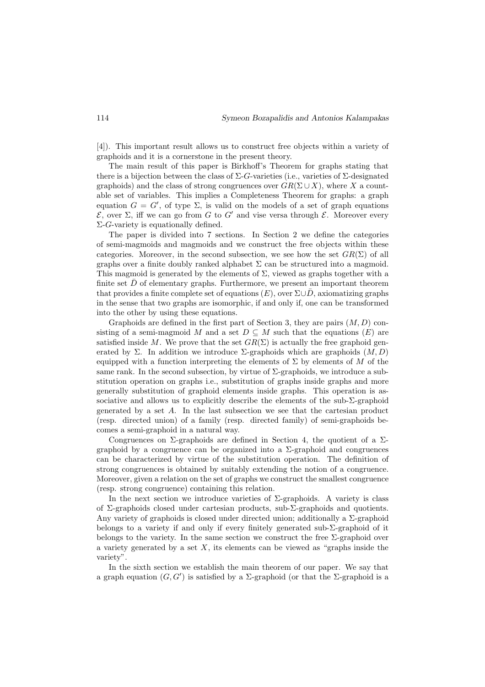[4]). This important result allows us to construct free objects within a variety of graphoids and it is a cornerstone in the present theory.

The main result of this paper is Birkhoff's Theorem for graphs stating that there is a bijection between the class of  $\Sigma$ -G-varieties (i.e., varieties of  $\Sigma$ -designated graphoids) and the class of strong congruences over  $GR(\Sigma \cup X)$ , where X a countable set of variables. This implies a Completeness Theorem for graphs: a graph equation  $G = G'$ , of type  $\Sigma$ , is valid on the models of a set of graph equations E, over Σ, iff we can go from G to G′ and vise versa through E. Moreover every  $\Sigma$ -*G*-variety is equationally defined.

The paper is divided into 7 sections. In Section 2 we define the categories of semi-magmoids and magmoids and we construct the free objects within these categories. Moreover, in the second subsection, we see how the set  $GR(\Sigma)$  of all graphs over a finite doubly ranked alphabet  $\Sigma$  can be structured into a magmoid. This magmoid is generated by the elements of  $\Sigma$ , viewed as graphs together with a finite set  $\bar{D}$  of elementary graphs. Furthermore, we present an important theorem that provides a finite complete set of equations  $(E)$ , over  $\Sigma \cup \overline{D}$ , axiomatizing graphs in the sense that two graphs are isomorphic, if and only if, one can be transformed into the other by using these equations.

Graphoids are defined in the first part of Section 3, they are pairs  $(M, D)$  consisting of a semi-magmoid M and a set  $D \subseteq M$  such that the equations  $(E)$  are satisfied inside M. We prove that the set  $GR(\Sigma)$  is actually the free graphoid generated by Σ. In addition we introduce  $\Sigma$ -graphoids which are graphoids  $(M, D)$ equipped with a function interpreting the elements of  $\Sigma$  by elements of M of the same rank. In the second subsection, by virtue of  $\Sigma$ -graphoids, we introduce a substitution operation on graphs i.e., substitution of graphs inside graphs and more generally substitution of graphoid elements inside graphs. This operation is associative and allows us to explicitly describe the elements of the sub-Σ-graphoid generated by a set A. In the last subsection we see that the cartesian product (resp. directed union) of a family (resp. directed family) of semi-graphoids becomes a semi-graphoid in a natural way.

Congruences on  $\Sigma$ -graphoids are defined in Section 4, the quotient of a  $\Sigma$ graphoid by a congruence can be organized into a  $\Sigma$ -graphoid and congruences can be characterized by virtue of the substitution operation. The definition of strong congruences is obtained by suitably extending the notion of a congruence. Moreover, given a relation on the set of graphs we construct the smallest congruence (resp. strong congruence) containing this relation.

In the next section we introduce varieties of  $\Sigma$ -graphoids. A variety is class of Σ-graphoids closed under cartesian products, sub-Σ-graphoids and quotients. Any variety of graphoids is closed under directed union; additionally a  $\Sigma$ -graphoid belongs to a variety if and only if every finitely generated sub-Σ-graphoid of it belongs to the variety. In the same section we construct the free  $\Sigma$ -graphoid over a variety generated by a set  $X$ , its elements can be viewed as "graphs inside the variety".

In the sixth section we establish the main theorem of our paper. We say that a graph equation  $(G, G')$  is satisfied by a  $\Sigma$ -graphoid (or that the  $\Sigma$ -graphoid is a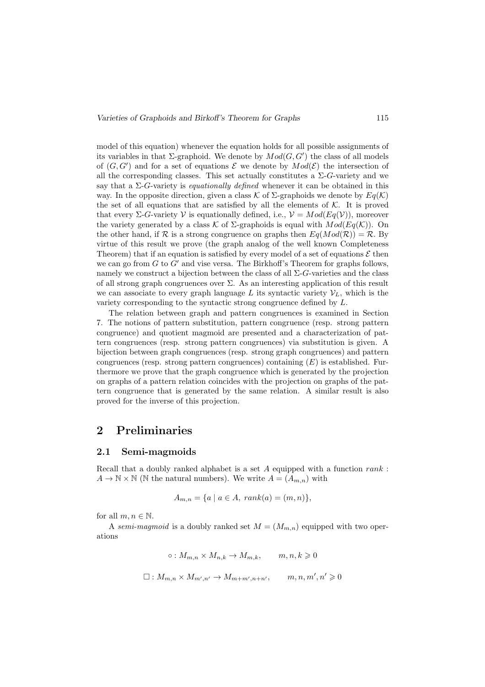model of this equation) whenever the equation holds for all possible assignments of its variables in that  $\Sigma$ -graphoid. We denote by  $Mod(G, G')$  the class of all models of  $(G, G')$  and for a set of equations  $\mathcal E$  we denote by  $Mod(\mathcal E)$  the intersection of all the corresponding classes. This set actually constitutes a  $\Sigma$ -G-variety and we say that a  $\Sigma$ -G-variety is *equationally defined* whenever it can be obtained in this way. In the opposite direction, given a class K of  $\Sigma$ -graphoids we denote by  $Eq(\mathcal{K})$ the set of all equations that are satisfied by all the elements of  $K$ . It is proved that every  $\Sigma$ -G-variety V is equationally defined, i.e.,  $\mathcal{V} = Mod(Eq(\mathcal{V}))$ , moreover the variety generated by a class K of  $\Sigma$ -graphoids is equal with  $Mod(Eq(K))$ . On the other hand, if R is a strong congruence on graphs then  $Eq(Mod(\mathcal{R})) = \mathcal{R}$ . By virtue of this result we prove (the graph analog of the well known Completeness Theorem) that if an equation is satisfied by every model of a set of equations  $\mathcal E$  then we can go from  $G$  to  $G'$  and vise versa. The Birkhoff's Theorem for graphs follows, namely we construct a bijection between the class of all  $\Sigma$ -G-varieties and the class of all strong graph congruences over  $\Sigma$ . As an interesting application of this result we can associate to every graph language L its syntactic variety  $\mathcal{V}_L$ , which is the variety corresponding to the syntactic strong congruence defined by L.

The relation between graph and pattern congruences is examined in Section 7. The notions of pattern substitution, pattern congruence (resp. strong pattern congruence) and quotient magmoid are presented and a characterization of pattern congruences (resp. strong pattern congruences) via substitution is given. A bijection between graph congruences (resp. strong graph congruences) and pattern congruences (resp. strong pattern congruences) containing  $(E)$  is established. Furthermore we prove that the graph congruence which is generated by the projection on graphs of a pattern relation coincides with the projection on graphs of the pattern congruence that is generated by the same relation. A similar result is also proved for the inverse of this projection.

### 2 Preliminaries

#### 2.1 Semi-magmoids

Recall that a doubly ranked alphabet is a set  $A$  equipped with a function  $rank$ :  $A \to \mathbb{N} \times \mathbb{N}$  (N the natural numbers). We write  $A = (A_{m,n})$  with

$$
A_{m,n} = \{a \mid a \in A, rank(a) = (m,n)\},\
$$

for all  $m, n \in \mathbb{N}$ .

A semi-magmoid is a doubly ranked set  $M = (M_{m,n})$  equipped with two operations

$$
\circ: M_{m,n} \times M_{n,k} \to M_{m,k}, \qquad m, n, k \geq 0
$$
  

$$
\Box: M_{m,n} \times M_{m',n'} \to M_{m+m',n+n'}, \qquad m, n, m', n' \geq 0
$$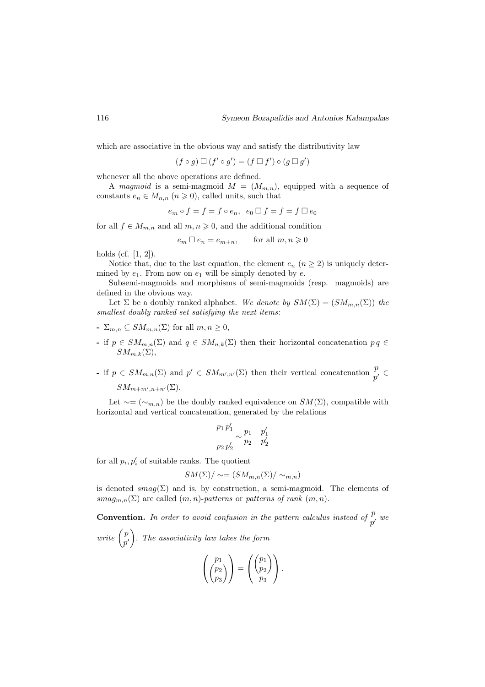which are associative in the obvious way and satisfy the distributivity law

$$
(f \circ g) \Box (f' \circ g') = (f \Box f') \circ (g \Box g')
$$

whenever all the above operations are defined.

A magmoid is a semi-magmoid  $M = (M_{m,n})$ , equipped with a sequence of constants  $e_n \in M_{n,n}$   $(n \geq 0)$ , called units, such that

$$
e_m \circ f = f = f \circ e_n, \ e_0 \Box f = f = f \Box e_0
$$

for all  $f \in M_{m,n}$  and all  $m, n \geq 0$ , and the additional condition

 $e_m \square e_n = e_{m+n}$ , for all  $m, n \geq 0$ 

holds (cf. [1, 2]).

Notice that, due to the last equation, the element  $e_n$   $(n \geq 2)$  is uniquely determined by  $e_1$ . From now on  $e_1$  will be simply denoted by  $e$ .

Subsemi-magmoids and morphisms of semi-magmoids (resp. magmoids) are defined in the obvious way.

Let  $\Sigma$  be a doubly ranked alphabet. We denote by  $SM(\Sigma) = (SM_{m,n}(\Sigma))$  the smallest doubly ranked set satisfying the next items:

- $\sum_{m,n} \subset SM_{m,n}(\Sigma)$  for all  $m, n \geq 0$ ,
- if  $p \in SM_{m,n}(\Sigma)$  and  $q \in SM_{n,k}(\Sigma)$  then their horizontal concatenation  $pq \in$  $SM_{m,k}(\Sigma),$
- if  $p \in SM_{m,n}(\Sigma)$  and  $p' \in SM_{m',n'}(\Sigma)$  then their vertical concatenation  $\frac{p}{p'} \in$  $SM_{m+m',n+n'}(\Sigma).$

Let  $\sim=(\sim_{m,n})$  be the doubly ranked equivalence on  $SM(\Sigma)$ , compatible with horizontal and vertical concatenation, generated by the relations

$$
\frac{p_1 p_1'}{p_2 p_2'} \sim \frac{p_1}{p_2} \quad \frac{p_1'}{p_2'}
$$

for all  $p_i, p'_i$  of suitable ranks. The quotient

$$
SM(\Sigma)/\sim = (SM_{m,n}(\Sigma)/\sim_{m,n})
$$

is denoted  $smag(\Sigma)$  and is, by construction, a semi-magmoid. The elements of smag<sub>m,n</sub>( $\Sigma$ ) are called  $(m, n)$ -patterns or patterns of rank  $(m, n)$ .

**Convention.** In order to avoid confusion in the pattern calculus instead of  $\frac{p}{p}$  $_p^{\nu}$  we write  $\begin{pmatrix} p \\ p \end{pmatrix}$  $p^{\prime}$ . The associativity law takes the form

$$
\left(\begin{pmatrix}p_1\\p_2\\p_3\end{pmatrix}\right)=\left(\begin{pmatrix}p_1\\p_2\\p_3\end{pmatrix}\right).
$$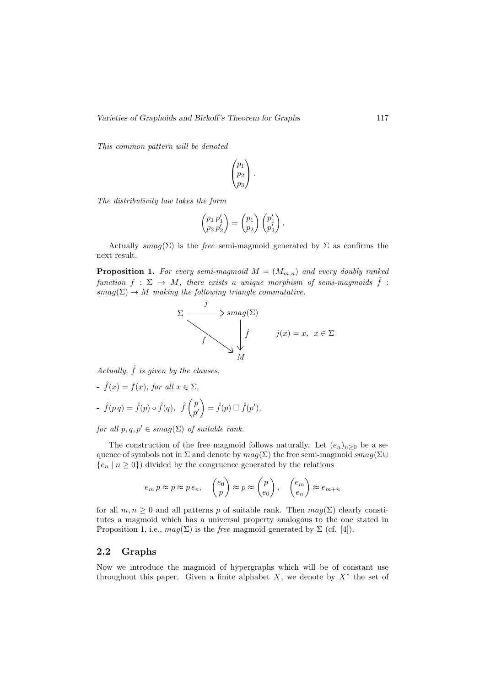This common pattern will be denoted

$$
\begin{pmatrix} p_1 \\ p_2 \\ p_3 \end{pmatrix}.
$$

The distributivity law takes the form

$$
\begin{pmatrix} p_1 p'_1 \\ p_2 p'_2 \end{pmatrix} = \begin{pmatrix} p_1 \\ p_2 \end{pmatrix} \begin{pmatrix} p'_1 \\ p'_2 \end{pmatrix}.
$$

Actually  $smag(\Sigma)$  is the free semi-magmoid generated by  $\Sigma$  as confirms the next result.

**Proposition 1.** For every semi-magmoid  $M = (M_{m,n})$  and every doubly ranked function  $f : \Sigma \to M$ , there exists a unique morphism of semi-magmoids  $\hat{f}$ :  $smag(\Sigma) \rightarrow M$  making the following triangle commutative.

$$
\sum \frac{j}{f} \longrightarrow \text{smag}(\Sigma)
$$
\n
$$
\hat{f} \qquad j(x) = x, \ x \in \Sigma
$$
\n
$$
M
$$

Actually,  $\hat{f}$  is given by the clauses,

- 
$$
\hat{f}(x) = f(x)
$$
, for all  $x \in \Sigma$ ,  
\n-  $\hat{f}(p q) = \hat{f}(p) \circ \hat{f}(q)$ ,  $\hat{f}(\begin{pmatrix} p \\ p' \end{pmatrix} = \hat{f}(p) \square \hat{f}(p')$ ,

for all  $p, q, p' \in smag(\Sigma)$  of suitable rank.

The construction of the free magmoid follows naturally. Let  $(e_n)_{n>0}$  be a sequence of symbols not in  $\Sigma$  and denote by  $mag(\Sigma)$  the free semi-magmoid  $smag(\Sigma)$  $\{e_n \mid n \geq 0\}$  divided by the congruence generated by the relations

$$
e_m p \approx p \approx p e_n
$$
,  $\begin{pmatrix} e_0 \\ p \end{pmatrix} \approx p \approx \begin{pmatrix} p \\ e_0 \end{pmatrix}$ ,  $\begin{pmatrix} e_m \\ e_n \end{pmatrix} \approx e_{m+n}$ 

for all  $m, n \geq 0$  and all patterns p of suitable rank. Then  $mag(\Sigma)$  clearly constitutes a magmoid which has a universal property analogous to the one stated in Proposition 1, i.e.,  $mag(\Sigma)$  is the *free* magmoid generated by  $\Sigma$  (cf. [4]).

#### 2.2 Graphs

Now we introduce the magmoid of hypergraphs which will be of constant use throughout this paper. Given a finite alphabet  $X$ , we denote by  $X^*$  the set of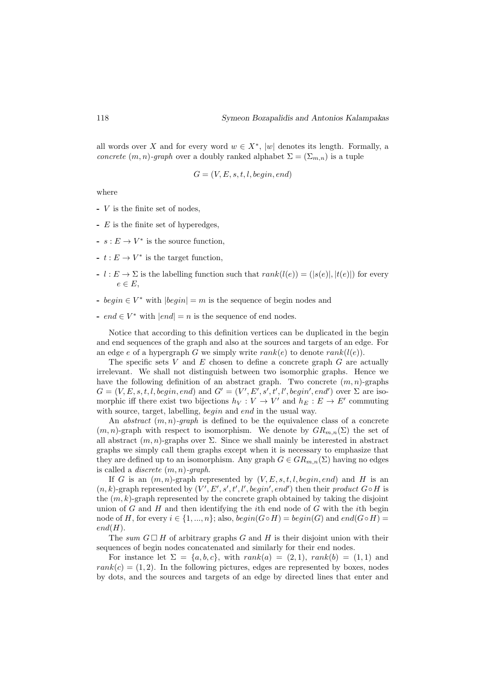all words over X and for every word  $w \in X^*$ , |w| denotes its length. Formally, a concrete  $(m, n)$ -graph over a doubly ranked alphabet  $\Sigma = (\Sigma_{m,n})$  is a tuple

$$
G = (V, E, s, t, l, begin, end)
$$

where

- V is the finite set of nodes,
- E is the finite set of hyperedges,
- $s : E \to V^*$  is the source function,
- $t$  :  $E$  →  $V^*$  is the target function,
- $l : E \to \Sigma$  is the labelling function such that  $rank(l(e)) = (|s(e)|, |t(e)|)$  for every  $e \in E$ .
- *begin* ∈  $V^*$  with  $|begin| = m$  is the sequence of begin nodes and
- end ∈  $V^*$  with  $|end| = n$  is the sequence of end nodes.

Notice that according to this definition vertices can be duplicated in the begin and end sequences of the graph and also at the sources and targets of an edge. For an edge e of a hypergraph G we simply write  $rank(e)$  to denote  $rank(l(e))$ .

The specific sets V and  $E$  chosen to define a concrete graph  $G$  are actually irrelevant. We shall not distinguish between two isomorphic graphs. Hence we have the following definition of an abstract graph. Two concrete  $(m, n)$ -graphs  $G = (V, E, s, t, l, begin, end)$  and  $G' = (V', E', s', t', l', begin', end')$  over  $\Sigma$  are isomorphic iff there exist two bijections  $h_V: V \to V'$  and  $h_E: E \to E'$  commuting with source, target, labelling, *begin* and *end* in the usual way.

An *abstract*  $(m, n)$ -graph is defined to be the equivalence class of a concrete  $(m, n)$ -graph with respect to isomorphism. We denote by  $GR_{m,n}(\Sigma)$  the set of all abstract  $(m, n)$ -graphs over  $\Sigma$ . Since we shall mainly be interested in abstract graphs we simply call them graphs except when it is necessary to emphasize that they are defined up to an isomorphism. Any graph  $G \in \mathbb{G}R_{m,n}(\Sigma)$  having no edges is called a *discrete*  $(m, n)$ -graph.

If G is an  $(m, n)$ -graph represented by  $(V, E, s, t, l, begin, end)$  and H is an  $(n, k)$ -graph represented by  $(V', E', s', t', l', begin', end')$  then their product  $G \circ H$  is the  $(m, k)$ -graph represented by the concrete graph obtained by taking the disjoint union of  $G$  and  $H$  and then identifying the *i*th end node of  $G$  with the *i*th begin node of H, for every  $i \in \{1, ..., n\}$ ; also,  $begin(G \circ H) = begin(G)$  and  $end(G \circ H) =$  $end(H).$ 

The sum  $G \square H$  of arbitrary graphs G and H is their disjoint union with their sequences of begin nodes concatenated and similarly for their end nodes.

For instance let  $\Sigma = \{a, b, c\}$ , with  $rank(a) = (2, 1)$ ,  $rank(b) = (1, 1)$  and  $rank(c) = (1, 2)$ . In the following pictures, edges are represented by boxes, nodes by dots, and the sources and targets of an edge by directed lines that enter and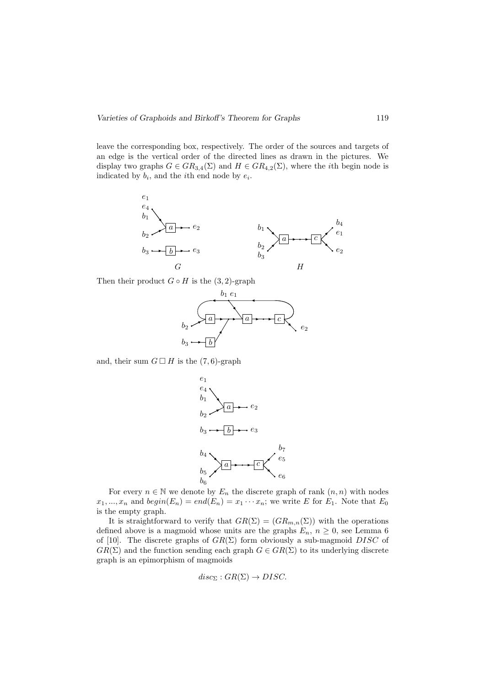leave the corresponding box, respectively. The order of the sources and targets of an edge is the vertical order of the directed lines as drawn in the pictures. We display two graphs  $G \in \text{GR}_{3,4}(\Sigma)$  and  $H \in \text{GR}_{4,2}(\Sigma)$ , where the *i*th begin node is indicated by  $b_i$ , and the *i*<sup>th</sup> end node by  $e_i$ .



Then their product  $G \circ H$  is the  $(3, 2)$ -graph



and, their sum  $G \square H$  is the  $(7, 6)$ -graph



For every  $n \in \mathbb{N}$  we denote by  $E_n$  the discrete graph of rank  $(n, n)$  with nodes  $x_1, ..., x_n$  and  $begin(E_n) = end(E_n) = x_1 \cdots x_n$ ; we write E for  $E_1$ . Note that  $E_0$ is the empty graph.

It is straightforward to verify that  $GR(\Sigma) = (GR_{m,n}(\Sigma))$  with the operations defined above is a magmoid whose units are the graphs  $E_n$ ,  $n \geq 0$ , see Lemma 6 of [10]. The discrete graphs of  $GR(\Sigma)$  form obviously a sub-magmoid DISC of  $GR(\Sigma)$  and the function sending each graph  $G \in GR(\Sigma)$  to its underlying discrete graph is an epimorphism of magmoids

$$
disc_{\Sigma}:GR(\Sigma) \to DISC.
$$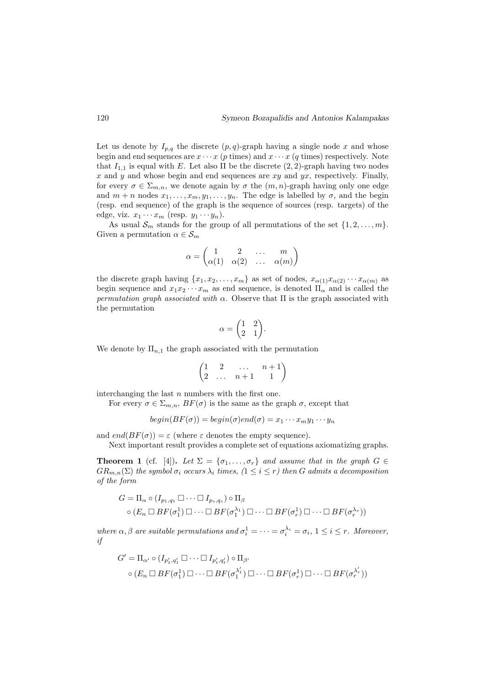Let us denote by  $I_{p,q}$  the discrete  $(p,q)$ -graph having a single node x and whose begin and end sequences are  $x \cdots x$  (p times) and  $x \cdots x$  (q times) respectively. Note that  $I_{1,1}$  is equal with E. Let also  $\Pi$  be the discrete  $(2, 2)$ -graph having two nodes x and y and whose begin and end sequences are  $xy$  and  $yx$ , respectively. Finally, for every  $\sigma \in \Sigma_{m,n}$ , we denote again by  $\sigma$  the  $(m, n)$ -graph having only one edge and  $m + n$  nodes  $x_1, \ldots, x_m, y_1, \ldots, y_n$ . The edge is labelled by  $\sigma$ , and the begin (resp. end sequence) of the graph is the sequence of sources (resp. targets) of the edge, viz.  $x_1 \cdots x_m$  (resp.  $y_1 \cdots y_n$ ).

As usual  $\mathcal{S}_m$  stands for the group of all permutations of the set  $\{1, 2, \ldots, m\}$ . Given a permutation  $\alpha \in \mathcal{S}_m$ 

$$
\alpha = \begin{pmatrix} 1 & 2 & \dots & m \\ \alpha(1) & \alpha(2) & \dots & \alpha(m) \end{pmatrix}
$$

the discrete graph having  $\{x_1, x_2, \ldots, x_m\}$  as set of nodes,  $x_{\alpha(1)}x_{\alpha(2)}\cdots x_{\alpha(m)}$  as begin sequence and  $x_1x_2 \cdots x_m$  as end sequence, is denoted  $\Pi_\alpha$  and is called the permutation graph associated with  $\alpha$ . Observe that  $\Pi$  is the graph associated with the permutation

$$
\alpha = \begin{pmatrix} 1 & 2 \\ 2 & 1 \end{pmatrix}.
$$

We denote by  $\Pi_{n,1}$  the graph associated with the permutation

$$
\begin{pmatrix}\n1 & 2 & \dots & n+1 \\
2 & \dots & n+1 & 1\n\end{pmatrix}
$$

interchanging the last  $n$  numbers with the first one.

For every  $\sigma \in \Sigma_{m,n}$ ,  $BF(\sigma)$  is the same as the graph  $\sigma$ , except that

$$
begin(BF(\sigma)) = begin(\sigma)end(\sigma) = x_1 \cdots x_m y_1 \cdots y_n
$$

and  $end(BF(\sigma)) = \varepsilon$  (where  $\varepsilon$  denotes the empty sequence).

Next important result provides a complete set of equations axiomatizing graphs.

**Theorem 1** (cf. [4]). Let  $\Sigma = {\sigma_1, \ldots, \sigma_r}$  and assume that in the graph  $G \in$  $GR_{m,n}(\Sigma)$  the symbol  $\sigma_i$  occurs  $\lambda_i$  times,  $(1 \leq i \leq r)$  then G admits a decomposition of the form

$$
G = \Pi_{\alpha} \circ (I_{p_1,q_1} \square \cdots \square I_{p_s,q_s}) \circ \Pi_{\beta}
$$
  
 
$$
\circ (E_n \square BF(\sigma_1^1) \square \cdots \square BF(\sigma_1^{\lambda_1}) \square \cdots \square BF(\sigma_r^1) \square \cdots \square BF(\sigma_r^{\lambda_r}))
$$

where  $\alpha, \beta$  are suitable permutations and  $\sigma_i^1 = \cdots = \sigma_i^{\lambda_i} = \sigma_i$ ,  $1 \leq i \leq r$ . Moreover, if

$$
G' = \Pi_{\alpha'} \circ (I_{p'_1, q'_1} \square \cdots \square I_{p'_t, q'_t}) \circ \Pi_{\beta'}
$$
  
 
$$
\circ (E_n \square BF(\sigma_1^1) \square \cdots \square BF(\sigma_1^{\lambda'_1}) \square \cdots \square BF(\sigma_r^1) \square \cdots \square BF(\sigma_r^{\lambda'_r}))
$$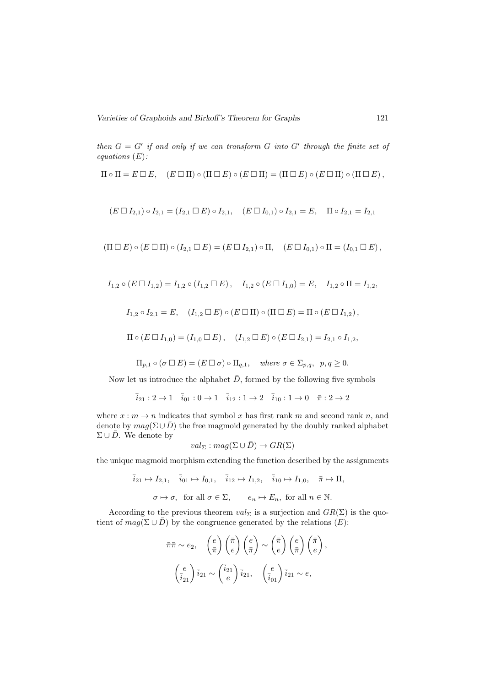then  $G = G'$  if and only if we can transform G into G' through the finite set of equations  $(E)$ :

$$
\Pi \circ \Pi = E \Box E, \quad (E \Box \Pi) \circ (\Pi \Box E) \circ (E \Box \Pi) = (\Pi \Box E) \circ (E \Box \Pi) \circ (\Pi \Box E),
$$

$$
(E \Box I_{2,1}) \circ I_{2,1} = (I_{2,1} \Box E) \circ I_{2,1}, \quad (E \Box I_{0,1}) \circ I_{2,1} = E, \quad \Pi \circ I_{2,1} = I_{2,1}
$$

$$
(\Pi \square E) \circ (E \square \Pi) \circ (I_{2,1} \square E) = (E \square I_{2,1}) \circ \Pi, \quad (E \square I_{0,1}) \circ \Pi = (I_{0,1} \square E),
$$

$$
I_{1,2} \circ (E \square I_{1,2}) = I_{1,2} \circ (I_{1,2} \square E), \quad I_{1,2} \circ (E \square I_{1,0}) = E, \quad I_{1,2} \circ \Pi = I_{1,2},
$$

$$
I_{1,2} \circ I_{2,1} = E, \quad (I_{1,2} \Box E) \circ (E \Box \Pi) \circ (\Pi \Box E) = \Pi \circ (E \Box I_{1,2}),
$$

$$
\Pi \circ (E \Box I_{1,0}) = (I_{1,0} \Box E), \quad (I_{1,2} \Box E) \circ (E \Box I_{2,1}) = I_{2,1} \circ I_{1,2},
$$

$$
\Pi_{p,1} \circ (\sigma \Box E) = (E \Box \sigma) \circ \Pi_{q,1}, \quad where \ \sigma \in \Sigma_{p,q}, \ \ p,q \ge 0.
$$

Now let us introduce the alphabet  $\bar{D}$ , formed by the following five symbols

$$
\bar{i}_{21}: 2 \to 1 \quad \bar{i}_{01}: 0 \to 1 \quad \bar{i}_{12}: 1 \to 2 \quad \bar{i}_{10}: 1 \to 0 \quad \bar{\pi}: 2 \to 2
$$

where  $x : m \to n$  indicates that symbol x has first rank m and second rank n, and denote by  $mag(\Sigma \cup \overline{D})$  the free magmoid generated by the doubly ranked alphabet  $\Sigma \cup \bar{D}$ . We denote by

$$
val_{\Sigma}: mag(\Sigma\cup\bar{D})\to GR(\Sigma)
$$

the unique magmoid morphism extending the function described by the assignments

$$
\bar{i}_{21} \mapsto I_{2,1}, \quad \bar{i}_{01} \mapsto I_{0,1}, \quad \bar{i}_{12} \mapsto I_{1,2}, \quad \bar{i}_{10} \mapsto I_{1,0}, \quad \bar{\pi} \mapsto \Pi,
$$
  
 $\sigma \mapsto \sigma, \text{ for all } \sigma \in \Sigma, \qquad e_n \mapsto E_n, \text{ for all } n \in \mathbb{N}.$ 

According to the previous theorem  $val_{\Sigma}$  is a surjection and  $GR(\Sigma)$  is the quotient of  $mag(\Sigma \cup \overline{D})$  by the congruence generated by the relations  $(E)$ :

$$
\bar{\pi}\bar{\pi} \sim e_2, \quad \left(\frac{e}{\bar{\pi}}\right) \left(\frac{\bar{e}}{e}\right) \left(\frac{e}{\bar{\pi}}\right) \sim \left(\frac{\bar{\pi}}{e}\right) \left(\frac{e}{\bar{\pi}}\right) \left(\frac{e}{\bar{e}}\right),
$$
\n
$$
\left(\frac{e}{i_{21}}\right) \bar{i}_{21} \sim \left(\frac{\bar{i}_{21}}{e}\right) \bar{i}_{21}, \quad \left(\frac{e}{i_{01}}\right) \bar{i}_{21} \sim e,
$$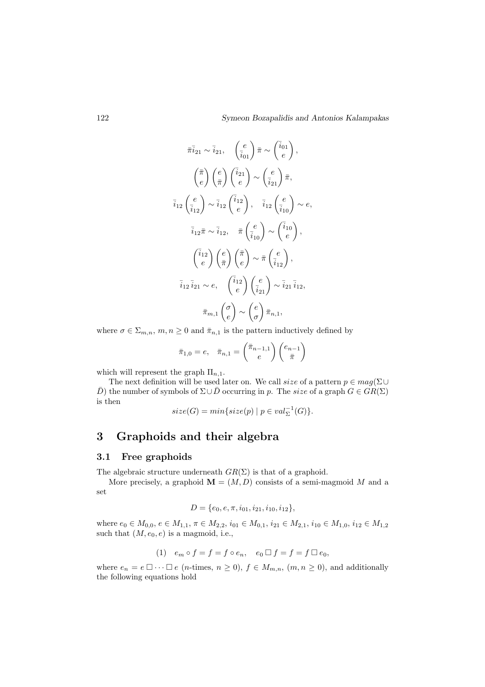$$
\bar{\pi} \bar{i}_{21} \sim \bar{i}_{21}, \quad \left(\frac{e}{i_{01}}\right) \bar{\pi} \sim \left(\frac{\bar{i}_{01}}{e}\right),
$$
\n
$$
\left(\frac{\bar{\pi}}{e}\right) \left(\frac{e}{\bar{\pi}}\right) \left(\frac{\bar{i}_{21}}{e}\right) \sim \left(\frac{e}{i_{21}}\right) \bar{\pi},
$$
\n
$$
\bar{i}_{12} \left(\frac{e}{i_{12}}\right) \sim \bar{i}_{12} \left(\frac{\bar{i}_{12}}{e}\right), \quad \bar{i}_{12} \left(\frac{e}{i_{10}}\right) \sim e,
$$
\n
$$
\bar{i}_{12} \bar{\pi} \sim \bar{i}_{12}, \quad \bar{\pi} \left(\frac{e}{i_{10}}\right) \sim \left(\frac{\bar{i}_{10}}{e}\right),
$$
\n
$$
\left(\frac{\bar{i}_{12}}{e}\right) \left(\frac{e}{\bar{\pi}}\right) \left(\frac{\bar{\pi}}{e}\right) \sim \bar{\pi} \left(\frac{e}{i_{12}}\right),
$$
\n
$$
\bar{i}_{12} \bar{i}_{21} \sim e, \quad \left(\frac{\bar{i}_{12}}{e}\right) \left(\frac{e}{i_{21}}\right) \sim \bar{i}_{21} \bar{i}_{12},
$$
\n
$$
\bar{\pi}_{m,1} \left(\frac{\sigma}{e}\right) \sim \left(\frac{e}{\sigma}\right) \bar{\pi}_{n,1},
$$

where  $\sigma \in \Sigma_{m,n}$ ,  $m, n \geq 0$  and  $\bar{\pi}_{n,1}$  is the pattern inductively defined by

$$
\bar{\pi}_{1,0} = e, \quad \bar{\pi}_{n,1} = \begin{pmatrix} \bar{\pi}_{n-1,1} \\ e \end{pmatrix} \begin{pmatrix} e_{n-1} \\ \bar{\pi} \end{pmatrix}
$$

which will represent the graph  $\Pi_{n,1}$ .

The next definition will be used later on. We call size of a pattern  $p \in mag(\Sigma \cup$  $\bar{D}$ ) the number of symbols of  $\Sigma \cup \bar{D}$  occurring in p. The size of a graph  $G \in \mathcal{GR}(\Sigma)$ is then

 $size(G) = min{size(p) | p \in val_{\Sigma}^{-1}(G)}$ .

# 3 Graphoids and their algebra

#### 3.1 Free graphoids

The algebraic structure underneath  $GR(\Sigma)$  is that of a graphoid.

More precisely, a graphoid  $\mathbf{M} = (M, D)$  consists of a semi-magmoid M and a set

$$
D = \{e_0, e, \pi, i_{01}, i_{21}, i_{10}, i_{12}\},\
$$

where  $e_0 \in M_{0,0}$ ,  $e \in M_{1,1}$ ,  $\pi \in M_{2,2}$ ,  $i_{01} \in M_{0,1}$ ,  $i_{21} \in M_{2,1}$ ,  $i_{10} \in M_{1,0}$ ,  $i_{12} \in M_{1,2}$ such that  $(M, e_0, e)$  is a magmoid, i.e.,

(1) 
$$
e_m \circ f = f = f \circ e_n
$$
,  $e_0 \Box f = f = f \Box e_0$ ,

where  $e_n = e \square \cdots \square e$  (*n*-times,  $n \ge 0$ ),  $f \in M_{m,n}$ ,  $(m, n \ge 0)$ , and additionally the following equations hold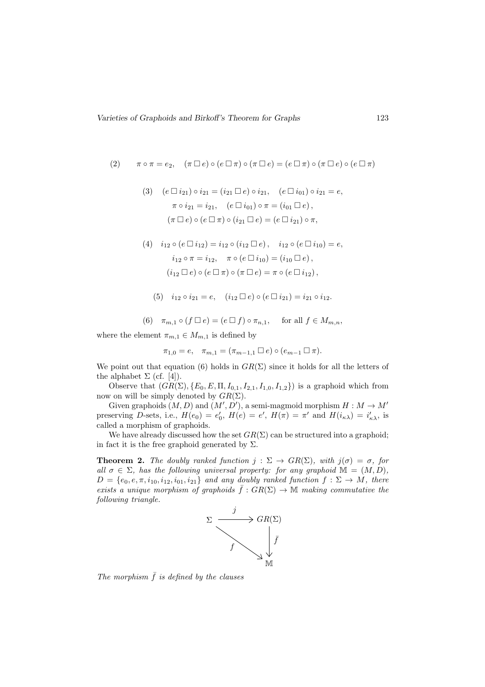(2) 
$$
\pi \circ \pi = e_2, \quad (\pi \Box e) \circ (e \Box \pi) \circ (\pi \Box e) = (e \Box \pi) \circ (\pi \Box e) \circ (e \Box \pi)
$$

(3) 
$$
(e \Box i_{21}) \circ i_{21} = (i_{21} \Box e) \circ i_{21}, \quad (e \Box i_{01}) \circ i_{21} = e,
$$
  
\n $\pi \circ i_{21} = i_{21}, \quad (e \Box i_{01}) \circ \pi = (i_{01} \Box e),$   
\n $(\pi \Box e) \circ (e \Box \pi) \circ (i_{21} \Box e) = (e \Box i_{21}) \circ \pi,$ 

(4) 
$$
i_{12} \circ (e \Box i_{12}) = i_{12} \circ (i_{12} \Box e), \quad i_{12} \circ (e \Box i_{10}) = e,
$$
  
\n $i_{12} \circ \pi = i_{12}, \quad \pi \circ (e \Box i_{10}) = (i_{10} \Box e),$   
\n $(i_{12} \Box e) \circ (e \Box \pi) \circ (\pi \Box e) = \pi \circ (e \Box i_{12}),$ 

(5)  $i_{12} \circ i_{21} = e$ ,  $(i_{12} \Box e) \circ (e \Box i_{21}) = i_{21} \circ i_{12}$ .

(6) 
$$
\pi_{m,1} \circ (f \Box e) = (e \Box f) \circ \pi_{n,1}
$$
, for all  $f \in M_{m,n}$ ,

where the element  $\pi_{m,1} \in M_{m,1}$  is defined by

$$
\pi_{1,0} = e, \quad \pi_{m,1} = (\pi_{m-1,1} \Box e) \circ (e_{m-1} \Box \pi).
$$

We point out that equation (6) holds in  $GR(\Sigma)$  since it holds for all the letters of the alphabet  $\Sigma$  (cf. [4]).

Observe that  $(GR(\Sigma), \{E_0, E, \Pi, I_{0,1}, I_{2,1}, I_{1,0}, I_{1,2}\})$  is a graphoid which from now on will be simply denoted by  $GR(\Sigma)$ .

Given graphoids  $(M, D)$  and  $(M', D')$ , a semi-magmoid morphism  $H : M \to M'$ preserving D-sets, i.e.,  $H(e_0) = e'_0$ ,  $H(e) = e'$ ,  $H(\pi) = \pi'$  and  $H(i_{\kappa\lambda}) = i'_{\kappa\lambda}$ , is called a morphism of graphoids.

We have already discussed how the set  $GR(\Sigma)$  can be structured into a graphoid; in fact it is the free graphoid generated by  $\Sigma$ .

**Theorem 2.** The doubly ranked function  $j : \Sigma \to \text{GR}(\Sigma)$ , with  $j(\sigma) = \sigma$ , for all  $\sigma \in \Sigma$ , has the following universal property: for any graphoid  $\mathbb{M} = (M, D)$ ,  $D = \{e_0, e, \pi, i_{10}, i_{12}, i_{01}, i_{21}\}$  and any doubly ranked function  $f : \Sigma \to M$ , there exists a unique morphism of graphoids  $\bar{f}:GR(\Sigma) \to \mathbb{M}$  making commutative the following triangle.



The morphism  $\bar{f}$  is defined by the clauses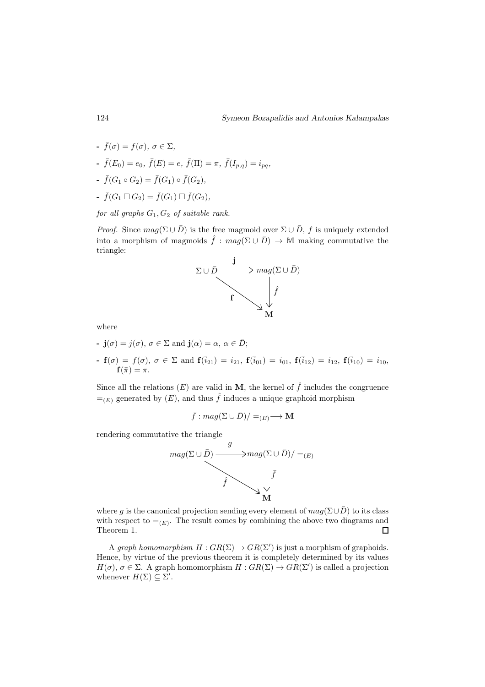- $\bar{f}(\sigma) = f(\sigma), \ \sigma \in \Sigma,$
- $\bar{f}(E_0) = e_0, \ \bar{f}(E) = e, \ \bar{f}(\Pi) = \pi, \ \bar{f}(I_{p,q}) = i_{pq},$
- $\bar{f}(G_1 \circ G_2) = \bar{f}(G_1) \circ \bar{f}(G_2),$
- $\bar{f}(G_1 \Box G_2) = \bar{f}(G_1) \Box \bar{f}(G_2),$

for all graphs  $G_1, G_2$  of suitable rank.

*Proof.* Since  $mag(\Sigma \cup \overline{D})$  is the free magmoid over  $\Sigma \cup \overline{D}$ , f is uniquely extended into a morphism of magmoids  $\hat{f} : mag(\Sigma \cup \overline{D}) \to \mathbb{M}$  making commutative the triangle:



where

- $\mathbf{j}(\sigma) = j(\sigma), \sigma \in \Sigma$  and  $\mathbf{j}(\alpha) = \alpha, \alpha \in \overline{D}$ ;
- $\texttt{f} \cdot \textbf{f}(\sigma) \,=\, f(\sigma), \; \sigma \,\in \, \Sigma \, \text{ and } \, \textbf{f}(\bar{i}_{21}) \,=\, i_{21}, \; \textbf{f}(\bar{i}_{01}) \,=\, i_{01}, \; \textbf{f}(\bar{i}_{12}) \,=\, i_{12}, \; \textbf{f}(\bar{i}_{10}) \,=\, i_{10},$  $\mathbf{f}(\bar{\pi})=\pi.$

Since all the relations  $(E)$  are valid in M, the kernel of  $\hat{f}$  includes the congruence  $=_{(E)}$  generated by  $(E)$ , and thus  $\hat{f}$  induces a unique graphoid morphism

$$
\bar{f}: mag(\Sigma \cup \bar{D})/=E(E) \longrightarrow M
$$

rendering commutative the triangle



where g is the canonical projection sending every element of  $mag(\Sigma \cup \overline{D})$  to its class with respect to  $=_{(E)}$ . The result comes by combining the above two diagrams and Theorem 1.  $\Box$ 

A graph homomorphism  $H:GR(\Sigma) \to GR(\Sigma')$  is just a morphism of graphoids. Hence, by virtue of the previous theorem it is completely determined by its values  $H(\sigma)$ ,  $\sigma \in \Sigma$ . A graph homomorphism  $H: GR(\Sigma) \to GR(\Sigma')$  is called a projection whenever  $H(\Sigma) \subseteq \Sigma'$ .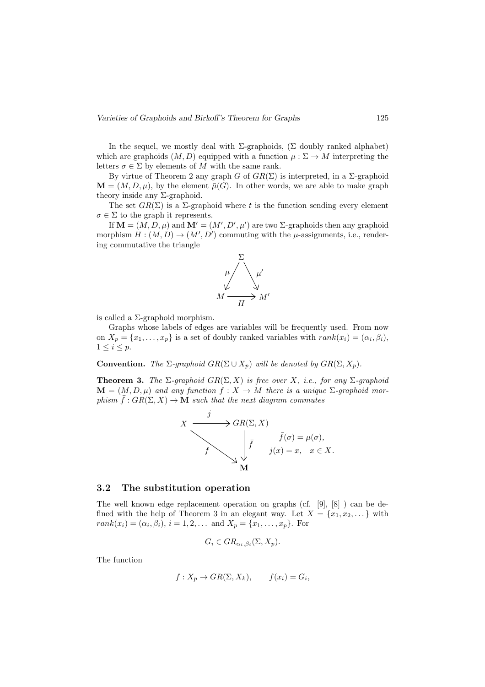In the sequel, we mostly deal with  $\Sigma$ -graphoids, ( $\Sigma$  doubly ranked alphabet) which are graphoids  $(M, D)$  equipped with a function  $\mu : \Sigma \to M$  interpreting the letters  $\sigma \in \Sigma$  by elements of M with the same rank.

By virtue of Theorem 2 any graph G of  $GR(\Sigma)$  is interpreted, in a  $\Sigma$ -graphoid  $\mathbf{M} = (M, D, \mu)$ , by the element  $\bar{\mu}(G)$ . In other words, we are able to make graph theory inside any  $\Sigma$ -graphoid.

The set  $GR(\Sigma)$  is a  $\Sigma$ -graphoid where t is the function sending every element  $\sigma \in \Sigma$  to the graph it represents.

If  $\mathbf{M} = (M, D, \mu)$  and  $\mathbf{M}' = (M', D', \mu')$  are two  $\Sigma$ -graphoids then any graphoid morphism  $H : (M, D) \to (M', D')$  commuting with the  $\mu$ -assignments, i.e., rendering commutative the triangle



is called a Σ-graphoid morphism.

Graphs whose labels of edges are variables will be frequently used. From now on  $X_p = \{x_1, \ldots, x_p\}$  is a set of doubly ranked variables with  $rank(x_i) = (\alpha_i, \beta_i)$ ,  $1 \leq i \leq p$ .

**Convention.** The  $\Sigma$ -graphoid  $GR(\Sigma \cup X_p)$  will be denoted by  $GR(\Sigma, X_p)$ .

**Theorem 3.** The  $\Sigma$ -graphoid  $GR(\Sigma, X)$  is free over X, i.e., for any  $\Sigma$ -graphoid  $\mathbf{M} = (M, D, \mu)$  and any function  $f : X \to M$  there is a unique  $\Sigma$ -graphoid morphism  $\bar{f}:GR(\Sigma, X) \to \mathbf{M}$  such that the next diagram commutes

$$
X \xrightarrow{j} GR(\Sigma, X)
$$
  

$$
\downarrow \bar{f} \qquad \qquad \bar{f}(\sigma) = \mu(\sigma),
$$
  

$$
\downarrow \bar{f} \qquad \qquad \bar{f}(\sigma) = \mu(\sigma),
$$
  

$$
\downarrow \bar{f} \qquad \qquad \bar{f}(\sigma) = \mu(\sigma),
$$
  

$$
\mathbf{M}
$$

#### 3.2 The substitution operation

The well known edge replacement operation on graphs (cf. [9], [8] ) can be defined with the help of Theorem 3 in an elegant way. Let  $X = \{x_1, x_2, \dots\}$  with  $rank(x_i) = (\alpha_i, \beta_i), i = 1, 2, ...$  and  $X_p = \{x_1, ..., x_p\}$ . For

$$
G_i \in GR_{\alpha_i,\beta_i}(\Sigma, X_p).
$$

The function

$$
f: X_p \to GR(\Sigma, X_k),
$$
  $f(x_i) = G_i,$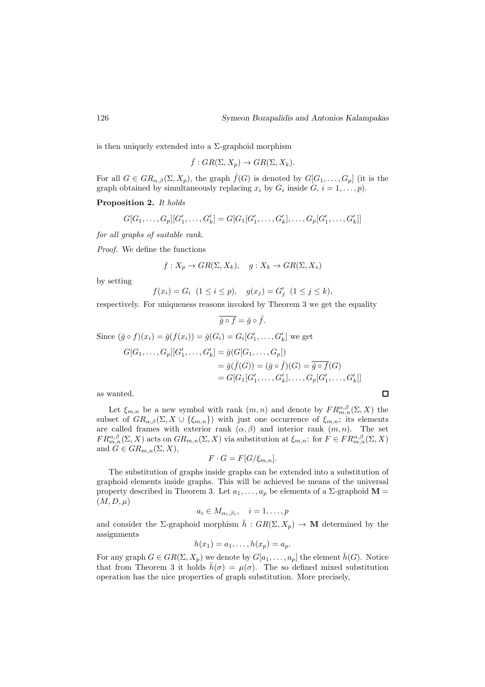is then uniquely extended into a  $\Sigma$ -graphoid morphism

$$
\bar{f}:GR(\Sigma,X_p)\to GR(\Sigma,X_k).
$$

For all  $G \in \text{GR}_{\alpha,\beta}(\Sigma, X_p)$ , the graph  $\bar{f}(G)$  is denoted by  $G[G_1, \ldots, G_p]$  (it is the graph obtained by simultaneously replacing  $x_i$  by  $G_i$  inside  $G, i = 1, \ldots, p$ .

Proposition 2. It holds

$$
G[G_1, \ldots, G_p][G'_1, \ldots, G'_k] = G[G_1[G'_1, \ldots, G'_k], \ldots, G_p[G'_1, \ldots, G'_k]]
$$

for all graphs of suitable rank.

Proof. We define the functions

$$
f: X_p \to GR(\Sigma, X_k), \quad g: X_k \to GR(\Sigma, X_s)
$$

by setting

$$
f(x_i) = G_i \ \ (1 \le i \le p), \quad g(x_j) = G'_j \ \ (1 \le j \le k),
$$

respectively. For uniqueness reasons invoked by Theorem 3 we get the equality

$$
\overline{\bar{g}\circ f}=\bar{g}\circ\bar{f}.
$$

Since  $(\bar{g} \circ f)(x_i) = \bar{g}(f(x_i)) = \bar{g}(G_i) = G_i[G'_1, \ldots, G'_k]$  we get

$$
G[G_1, ..., G_p][G'_1, ..., G'_k] = \bar{g}(G[G_1, ..., G_p])
$$
  
=  $\bar{g}(\bar{f}(G)) = (\bar{g} \circ \bar{f})(G) = \bar{g} \circ \bar{f}(G)$   
=  $G[G_1[G'_1, ..., G'_k], ..., G_p[G'_1, ..., G'_k]]$ 

as wanted.

Let  $\xi_{m,n}$  be a new symbol with rank  $(m,n)$  and denote by  $FR_{m,n}^{\alpha,\beta}(\Sigma,X)$  the subset of  $GR_{\alpha,\beta}(\Sigma, X \cup \{\xi_{m,n}\})$  with just one occurrence of  $\xi_{m,n}$ ; its elements are called frames with exterior rank  $(\alpha, \beta)$  and interior rank  $(m, n)$ . The set  $FR_{m,n}^{\alpha,\beta}(\Sigma,X)$  acts on  $GR_{m,n}(\Sigma,X)$  via substitution at  $\xi_{m,n}$ : for  $F \in FR_{m,n}^{\alpha,\beta}(\Sigma,X)$ and  $G \in \mathbb{G}R_{m,n}(\Sigma, X),$ 

$$
F \cdot G = F[G/\xi_{m,n}].
$$

The substitution of graphs inside graphs can be extended into a substitution of graphoid elements inside graphs. This will be achieved be means of the universal property described in Theorem 3. Let  $a_1, \ldots, a_p$  be elements of a  $\Sigma$ -graphoid  $\mathbf{M} =$  $(M, D, \mu)$ 

$$
a_i \in M_{\alpha_i,\beta_i}, \quad i = 1,\ldots,p
$$

and consider the  $\Sigma$ -graphoid morphism  $\bar{h}:GR(\Sigma,X_p)\to \mathbf{M}$  determined by the assignments

$$
h(x_1)=a_1,\ldots,h(x_p)=a_p.
$$

For any graph  $G \in \text{GR}(\Sigma, X_p)$  we denote by  $G[a_1, \ldots, a_p]$  the element  $\bar{h}(G)$ . Notice that from Theorem 3 it holds  $\bar{h}(\sigma) = \mu(\sigma)$ . The so defined mixed substitution operation has the nice properties of graph substitution. More precisely,

 $\Box$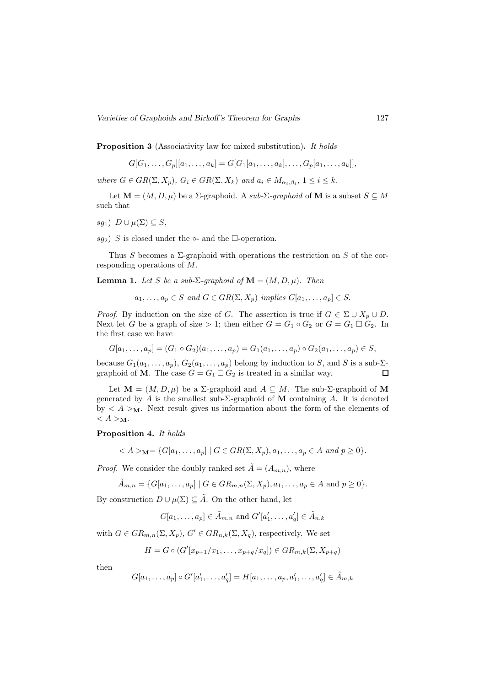Proposition 3 (Associativity law for mixed substitution). It holds

$$
G[G_1, \ldots, G_p][a_1, \ldots, a_k] = G[G_1[a_1, \ldots, a_k], \ldots, G_p[a_1, \ldots, a_k]],
$$

where  $G \in \text{GR}(\Sigma, X_p)$ ,  $G_i \in \text{GR}(\Sigma, X_k)$  and  $a_i \in M_{\alpha_i, \beta_i}$ ,  $1 \leq i \leq k$ .

Let  $\mathbf{M} = (M, D, \mu)$  be a  $\Sigma$ -graphoid. A sub- $\Sigma$ -graphoid of M is a subset  $S \subseteq M$ such that

sg<sub>1</sub>)  $D \cup \mu(\Sigma) \subseteq S$ ,

sq<sub>2</sub>) S is closed under the  $\circ$ - and the  $\Box$ -operation.

Thus S becomes a  $\Sigma$ -graphoid with operations the restriction on S of the corresponding operations of M.

**Lemma 1.** Let S be a sub- $\Sigma$ -graphoid of  $\mathbf{M} = (M, D, \mu)$ . Then

 $a_1, \ldots, a_p \in S$  and  $G \in \text{GR}(\Sigma, X_p)$  implies  $G[a_1, \ldots, a_p] \in S$ .

*Proof.* By induction on the size of G. The assertion is true if  $G \in \Sigma \cup X_p \cup D$ . Next let G be a graph of size > 1; then either  $G = G_1 \circ G_2$  or  $G = G_1 \square G_2$ . In the first case we have

$$
G[a_1, \ldots, a_p] = (G_1 \circ G_2)(a_1, \ldots, a_p) = G_1(a_1, \ldots, a_p) \circ G_2(a_1, \ldots, a_p) \in S,
$$

because  $G_1(a_1, \ldots, a_p)$ ,  $G_2(a_1, \ldots, a_p)$  belong by induction to S, and S is a sub- $\Sigma$ graphoid of **M**. The case  $G = G_1 \square G_2$  is treated in a similar way.  $\Box$ 

Let  $\mathbf{M} = (M, D, \mu)$  be a  $\Sigma$ -graphoid and  $A \subseteq M$ . The sub- $\Sigma$ -graphoid of M generated by A is the smallest sub- $\Sigma$ -graphoid of M containing A. It is denoted by  $\langle A \rangle_{\mathbf{M}}$ . Next result gives us information about the form of the elements of  $\langle A \rangle_{\mathbf{M}}$ .

Proposition 4. It holds

 $A >_{\mathbf{M}} 1 \{G[a_1, \ldots, a_n] \mid G \in \text{GR}(\Sigma, X_n), a_1, \ldots, a_n \in A \text{ and } p \geq 0\}.$ 

*Proof.* We consider the doubly ranked set  $\tilde{A} = (A_{m,n})$ , where

$$
\tilde{A}_{m,n} = \{G[a_1, \dots, a_p] \mid G \in GR_{m,n}(\Sigma, X_p), a_1, \dots, a_p \in A \text{ and } p \ge 0\}.
$$

By construction  $D \cup \mu(\Sigma) \subseteq \tilde{A}$ . On the other hand, let

$$
G[a_1,\ldots,a_p] \in \tilde{A}_{m,n}
$$
 and  $G'[a'_1,\ldots,a'_q] \in \tilde{A}_{n,k}$ 

with  $G \in \text{GR}_{m,n}(\Sigma, X_n), G' \in \text{GR}_{n,k}(\Sigma, X_q)$ , respectively. We set

$$
H = G \circ (G'[x_{p+1}/x_1,\ldots,x_{p+q}/x_q]) \in GR_{m,k}(\Sigma,X_{p+q})
$$

then

$$
G[a_1, ..., a_p] \circ G'[a'_1, ..., a'_q] = H[a_1, ..., a_p, a'_1, ..., a'_q] \in \tilde{A}_{m,k}
$$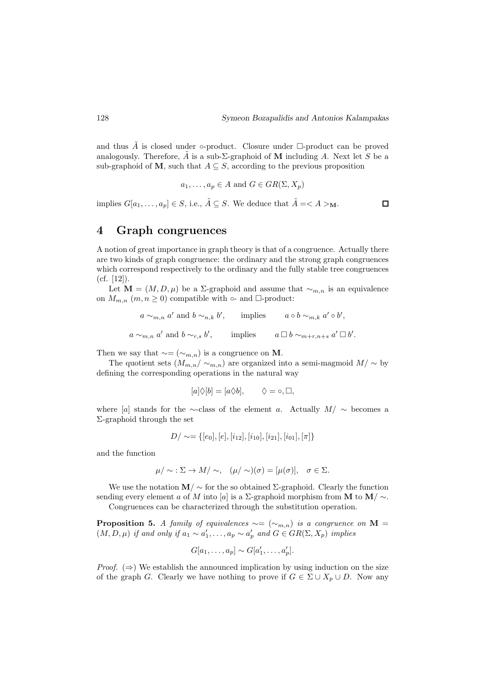$\Box$ 

and thus  $\tilde{A}$  is closed under  $\circ$ -product. Closure under  $\Box$ -product can be proved analogously. Therefore,  $\tilde{A}$  is a sub- $\Sigma$ -graphoid of M including A. Next let S be a sub-graphoid of M, such that  $A \subseteq S$ , according to the previous proposition

$$
a_1, \ldots, a_p \in A
$$
 and  $G \in \text{GR}(\Sigma, X_p)$ 

implies  $G[a_1, \ldots, a_p] \in S$ , i.e.,  $\tilde{A} \subseteq S$ . We deduce that  $\tilde{A} = \langle A \rangle_{\mathbf{M}}$ .

# 4 Graph congruences

A notion of great importance in graph theory is that of a congruence. Actually there are two kinds of graph congruence: the ordinary and the strong graph congruences which correspond respectively to the ordinary and the fully stable tree congruences (cf. [12]).

Let **M** = (*M*, *D*, *μ*) be a Σ-graphoid and assume that  $∼_{m,n}$  is an equivalence on  $M_{m,n}$   $(m, n \geq 0)$  compatible with  $\circ$ - and  $\Box$ -product:

$$
a \sim_{m,n} a'
$$
 and  $b \sim_{n,k} b'$ , implies  $a \circ b \sim_{m,k} a' \circ b'$ ,  
 $a \sim_{m,n} a'$  and  $b \sim_{r,s} b'$ , implies  $a \Box b \sim_{m+r,n+s} a' \Box b'$ .

Then we say that  $\sim=(\sim_{m,n})$  is a congruence on **M**.

The quotient sets  $(M_{m,n}/\sim_{m,n})$  are organized into a semi-magmoid  $M/\sim$  by defining the corresponding operations in the natural way

$$
[a]\Diamond [b] = [a\Diamond b], \qquad \Diamond = \circ, \Box,
$$

where [a] stands for the ∼-class of the element a. Actually  $M/\sim$  becomes a Σ-graphoid through the set

$$
D/\sim=\{[e_0],[e],[i_{12}],[i_{10}],[i_{21}],[i_{01}],[\pi]\}
$$

and the function

$$
\mu/\sim \Sigma \to M/\sim, \quad (\mu/\sim)(\sigma)=[\mu(\sigma)], \quad \sigma \in \Sigma.
$$

We use the notation  $\mathbf{M}/\sim$  for the so obtained  $\Sigma$ -graphoid. Clearly the function sending every element a of M into [a] is a Σ-graphoid morphism from M to  $M / \sim$ .

Congruences can be characterized through the substitution operation.

**Proposition 5.** A family of equivalences  $\sim$  = ( $\sim$ <sub>m,n</sub>) is a congruence on M =  $(M, D, \mu)$  if and only if  $a_1 \sim a'_1, \ldots, a_p \sim a'_p$  and  $G \in \text{GR}(\Sigma, X_p)$  implies

$$
G[a_1,\ldots,a_p] \sim G[a'_1,\ldots,a'_p].
$$

*Proof.*  $(\Rightarrow)$  We establish the announced implication by using induction on the size of the graph G. Clearly we have nothing to prove if  $G \in \Sigma \cup X_p \cup D$ . Now any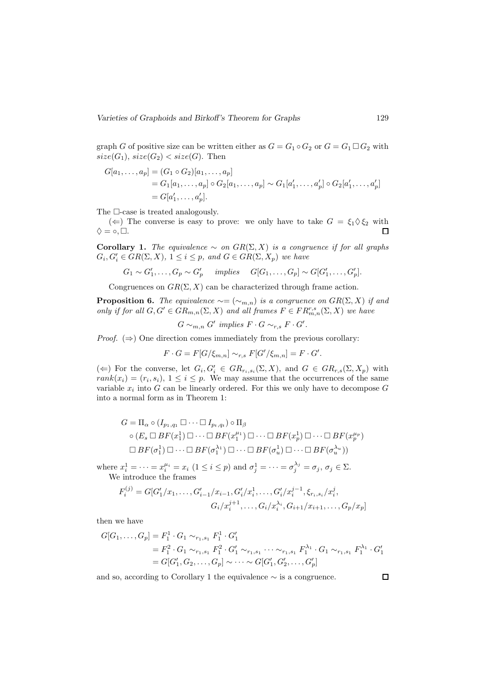graph G of positive size can be written either as  $G = G_1 \circ G_2$  or  $G = G_1 \square G_2$  with  $size(G_1), size(G_2) < size(G).$  Then

$$
G[a_1, ..., a_p] = (G_1 \circ G_2)[a_1, ..., a_p]
$$
  
=  $G_1[a_1, ..., a_p] \circ G_2[a_1, ..., a_p] \sim G_1[a'_1, ..., a'_p] \circ G_2[a'_1, ..., a'_p]$   
=  $G[a'_1, ..., a'_p]$ .

The  $\Box$ -case is treated analogously.

( $\Leftarrow$ ) The converse is easy to prove: we only have to take  $G = \xi_1 \Diamond \xi_2$  with  $\diamondsuit = \circ. \square.$  $\Box$ 

Corollary 1. The equivalence  $\sim$  on  $GR(\Sigma, X)$  is a congruence if for all graphs  $G_i, G'_i \in \text{GR}(\Sigma, X), 1 \leq i \leq p$ , and  $G \in \text{GR}(\Sigma, X_p)$  we have

$$
G_1 \sim G'_1, \ldots, G_p \sim G'_p
$$
 implies  $G[G_1, \ldots, G_p] \sim G[G'_1, \ldots, G'_p]$ .

Congruences on  $GR(\Sigma, X)$  can be characterized through frame action.

**Proposition 6.** The equivalence  $\sim = (\sim_{m,n})$  is a congruence on  $GR(\Sigma, X)$  if and only if for all  $G, G' \in \mathbb{G}R_{m,n}(\Sigma, X)$  and all frames  $F \in \mathbb{F}R_{m,n}^{r,s}(\Sigma, X)$  we have

$$
G \sim_{m,n} G' \implies F \cdot G \sim_{r,s} F \cdot G'.
$$

*Proof.*  $(\Rightarrow)$  One direction comes immediately from the previous corollary:

$$
F \cdot G = F[G/\xi_{m,n}] \sim_{r,s} F[G'/\xi_{m,n}] = F \cdot G'.
$$

( $\Leftarrow$ ) For the converse, let  $G_i, G'_i \in \text{GR}_{r_i, s_i}(\Sigma, X)$ , and  $G \in \text{GR}_{r,s}(\Sigma, X_p)$  with  $rank(x_i) = (r_i, s_i), 1 \leq i \leq p$ . We may assume that the occurrences of the same variable  $x_i$  into G can be linearly ordered. For this we only have to decompose G into a normal form as in Theorem 1:

$$
G = \Pi_{\alpha} \circ (I_{p_1, q_1} \square \cdots \square I_{p_t, q_t}) \circ \Pi_{\beta}
$$
  
\n
$$
\circ (E_s \square BF(x_1^1) \square \cdots \square BF(x_1^{\mu_1}) \square \cdots \square BF(x_p^1) \square \cdots \square BF(x_p^{\mu_p})
$$
  
\n
$$
\square BF(\sigma_1^1) \square \cdots \square BF(\sigma_1^{\lambda_1}) \square \cdots \square BF(\sigma_u^1) \square \cdots \square BF(\sigma_u^{\lambda_u}))
$$

where  $x_i^1 = \cdots = x_i^{\mu_i} = x_i$   $(1 \le i \le p)$  and  $\sigma_j^1 = \cdots = \sigma_j^{\lambda_j} = \sigma_j$ ,  $\sigma_j \in \Sigma$ . We introduce the frames

$$
F_i^{(j)} = G[G'_1/x_1, \dots, G'_{i-1}/x_{i-1}, G'_i/x_i^1, \dots, G'_i/x_i^{j-1}, \xi_{r_i, s_i}/x_i^j,
$$
  

$$
G_i/x_i^{j+1}, \dots, G_i/x_i^{\lambda_i}, G_{i+1}/x_{i+1}, \dots, G_p/x_p]
$$

then we have

$$
G[G_1, \ldots, G_p] = F_1^1 \cdot G_1 \sim_{r_1, s_1} F_1^1 \cdot G'_1
$$
  
=  $F_1^2 \cdot G_1 \sim_{r_1, s_1} F_1^2 \cdot G'_1 \sim_{r_1, s_1} \cdots \sim_{r_1, s_1} F_1^{\lambda_1} \cdot G_1 \sim_{r_1, s_1} F_1^{\lambda_1} \cdot G'_1$   
=  $G[G'_1, G_2, \ldots, G_p] \sim \cdots \sim G[G'_1, G'_2, \ldots, G'_p]$ 

and so, according to Corollary 1 the equivalence  $\sim$  is a congruence.

 $\Box$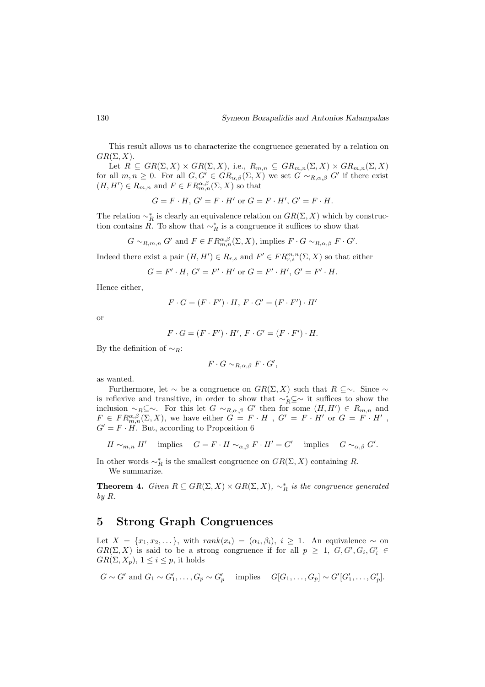This result allows us to characterize the congruence generated by a relation on  $GR(\Sigma, X)$ .

Let  $R \subseteq \text{GR}(\Sigma, X) \times \text{GR}(\Sigma, X)$ , i.e.,  $R_{m,n} \subseteq \text{GR}_{m,n}(\Sigma, X) \times \text{GR}_{m,n}(\Sigma, X)$ for all  $m, n \geq 0$ . For all  $G, G' \in \text{GR}_{\alpha,\beta}(\Sigma, X)$  we set  $G \sim_{R,\alpha,\beta} G'$  if there exist  $(H, H') \in R_{m,n}$  and  $F \in FR_{m,n}^{\alpha,\beta}(\Sigma, X)$  so that

$$
G = F \cdot H, G' = F \cdot H' \text{ or } G = F \cdot H', G' = F \cdot H.
$$

The relation  $\sim_R^*$  is clearly an equivalence relation on  $GR(\Sigma, X)$  which by construction contains R. To show that  $\sim_R^*$  is a congruence it suffices to show that

$$
G \sim_{R,m,n} G'
$$
 and  $F \in FR_{m,n}^{\alpha,\beta}(\Sigma, X)$ , implies  $F \cdot G \sim_{R,\alpha,\beta} F \cdot G'$ .

Indeed there exist a pair  $(H, H') \in R_{r,s}$  and  $F' \in FR_{r,s}^{m,n}(\Sigma, X)$  so that either

$$
G = F' \cdot H, G' = F' \cdot H' \text{ or } G = F' \cdot H', G' = F' \cdot H.
$$

Hence either,

$$
F \cdot G = (F \cdot F') \cdot H, F \cdot G' = (F \cdot F') \cdot H'
$$

or

$$
F \cdot G = (F \cdot F') \cdot H', \, F \cdot G' = (F \cdot F') \cdot H.
$$

By the definition of  $\sim_R$ :

$$
F \cdot G \sim_{R,\alpha,\beta} F \cdot G',
$$

as wanted.

Furthermore, let  $\sim$  be a congruence on  $GR(\Sigma, X)$  such that  $R \subseteq \sim$ . Since  $\sim$ is reflexive and transitive, in order to show that  $\sim_R^* \subseteq \sim$  it suffices to show the inclusion  $\sim_R \subseteq \sim$ . For this let  $G \sim_{R,\alpha,\beta} G'$  then for some  $(H,H') \in R_{m,n}$  and  $F \in FR_{m,n}^{\alpha,\beta}(\Sigma,X)$ , we have either  $G = F \cdot H$ ,  $G' = F \cdot H'$  or  $G = F \cdot H'$ ,  $G' = F \cdot H$ . But, according to Proposition 6

$$
H \sim_{m,n} H' \quad \text{implies} \quad G = F \cdot H \sim_{\alpha,\beta} F \cdot H' = G' \quad \text{implies} \quad G \sim_{\alpha,\beta} G'.
$$

In other words  $\sim_R^*$  is the smallest congruence on  $GR(\Sigma, X)$  containing R. We summarize.

**Theorem 4.** Given  $R \subseteq \text{GR}(\Sigma, X) \times \text{GR}(\Sigma, X)$ ,  $\sim_R^*$  is the congruence generated by R.

# 5 Strong Graph Congruences

Let  $X = \{x_1, x_2, \dots\}$ , with  $rank(x_i) = (\alpha_i, \beta_i), i \geq 1$ . An equivalence  $\sim$  on  $GR(\Sigma, X)$  is said to be a strong congruence if for all  $p \geq 1$ ,  $G, G', G_i, G'_i \in$  $GR(\Sigma, X_p), 1 \leq i \leq p$ , it holds

$$
G \sim G'
$$
 and  $G_1 \sim G'_1, \ldots, G_p \sim G'_p$  implies  $G[G_1, \ldots, G_p] \sim G'[G'_1, \ldots, G'_p]$ .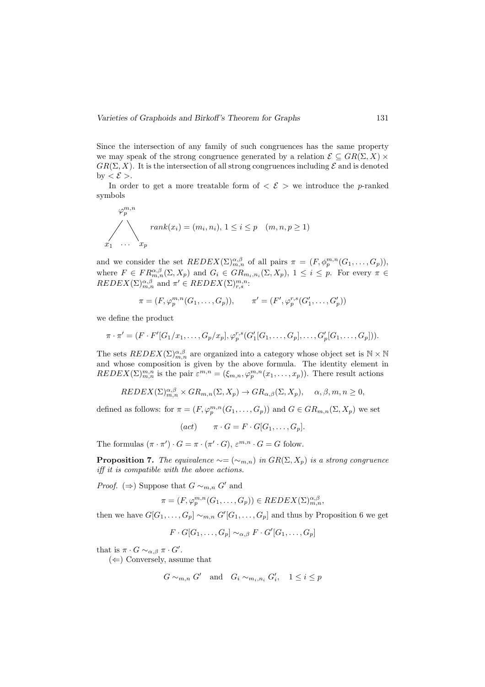Since the intersection of any family of such congruences has the same property we may speak of the strong congruence generated by a relation  $\mathcal{E} \subseteq \mathcal{GR}(\Sigma, X)$  $GR(\Sigma, X)$ . It is the intersection of all strong congruences including  $\mathcal E$  and is denoted by  $\langle \mathcal{E} \rangle$ .

In order to get a more treatable form of  $\langle \mathcal{E} \rangle$  we introduce the p-ranked symbols

$$
\varphi_p^{m,n}
$$
  

$$
\sum_{x_1 \dots x_p} rank(x_i) = (m_i, n_i), 1 \le i \le p \quad (m, n, p \ge 1)
$$

and we consider the set  $REDEX(\Sigma)_{m,n}^{\alpha,\beta}$  of all pairs  $\pi = (F, \phi_p^{m,n}(G_1, \ldots, G_p)),$ where  $F \in FR_{m,n}^{\alpha,\beta}(\Sigma,X_p)$  and  $G_i \in GR_{m_i,n_i}(\Sigma,X_p)$ ,  $1 \leq i \leq p$ . For every  $\pi \in$  $REDEX(\Sigma)_{m,n}^{\alpha,\beta}$  and  $\pi' \in REDEX(\Sigma)_{r,s}^{m,n}$ :

$$
\pi = (F, \varphi_p^{m,n}(G_1, ..., G_p)), \qquad \pi' = (F', \varphi_p^{r,s}(G'_1, ..., G'_p))
$$

we define the product

$$
\pi \cdot \pi' = (F \cdot F'[G_1/x_1, \ldots, G_p/x_p], \varphi_p^{r,s}(G'_1[G_1, \ldots, G_p], \ldots, G'_p[G_1, \ldots, G_p])).
$$

The sets  $REDEX(\Sigma)_{m,n}^{\alpha,\beta}$  are organized into a category whose object set is  $\mathbb{N} \times \mathbb{N}$ and whose composition is given by the above formula. The identity element in  $REDEX(\Sigma)_{m,n}^{m,n}$  is the pair  $\varepsilon^{m,n} = (\xi_{m,n}, \varphi_p^{m,n}(x_1,\ldots,x_p)).$  There result actions

$$
REDEX(\Sigma)_{m,n}^{\alpha,\beta} \times GR_{m,n}(\Sigma, X_p) \to GR_{\alpha,\beta}(\Sigma, X_p), \quad \alpha, \beta, m, n \ge 0,
$$

defined as follows: for  $\pi = (F, \varphi_p^{m,n}(G_1, \ldots, G_p))$  and  $G \in \text{GR}_{m,n}(\Sigma, X_p)$  we set

$$
(act) \qquad \pi \cdot G = F \cdot G[G_1, \dots, G_p].
$$

The formulas  $(\pi \cdot \pi') \cdot G = \pi \cdot (\pi' \cdot G), \varepsilon^{m,n} \cdot G = G$  folow.

**Proposition 7.** The equivalence  $\sim = (\sim_{m,n})$  in  $GR(\Sigma, X_p)$  is a strong congruence iff it is compatible with the above actions.

*Proof.* ( $\Rightarrow$ ) Suppose that  $G \sim_{m,n} G'$  and

$$
\pi = (F, \varphi_p^{m,n}(G_1, \dots, G_p)) \in REDEX(\Sigma)_{m,n}^{\alpha, \beta},
$$

then we have  $G[G_1, \ldots, G_p] \sim_{m,n} G'[G_1, \ldots, G_p]$  and thus by Proposition 6 we get

 $F \cdot G[G_1, \ldots, G_p] \sim_{\alpha, \beta} F \cdot G'[G_1, \ldots, G_p]$ 

that is  $\pi \cdot G \sim_{\alpha,\beta} \pi \cdot G'$ .

 $(\Leftarrow)$  Conversely, assume that

$$
G \sim_{m,n} G' \quad \text{and} \quad G_i \sim_{m_i, n_i} G'_i, \quad 1 \le i \le p
$$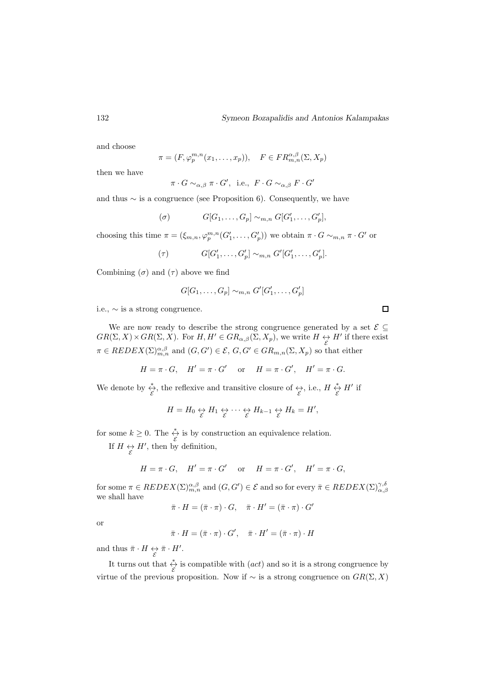and choose

$$
\pi = (F, \varphi_p^{m,n}(x_1, \dots, x_p)), \quad F \in FR_{m,n}^{\alpha,\beta}(\Sigma, X_p)
$$

then we have

$$
\pi \cdot G \sim_{\alpha,\beta} \pi \cdot G',
$$
 i.e.,  $F \cdot G \sim_{\alpha,\beta} F \cdot G'$ 

and thus  $\sim$  is a congruence (see Proposition 6). Consequently, we have

$$
(\sigma) \qquad G[G_1, \ldots, G_p] \sim_{m,n} G[G'_1, \ldots, G'_p],
$$

choosing this time  $\pi = (\xi_{m,n}, \varphi_p^{m,n}(G'_1, \ldots, G'_p))$  we obtain  $\pi \cdot G \sim_{m,n} \pi \cdot G'$  or

$$
(\tau) \t G[G'_1, \ldots, G'_p] \sim_{m,n} G'[G'_1, \ldots, G'_p].
$$

Combining  $(\sigma)$  and  $(\tau)$  above we find

$$
G[G_1,\ldots,G_p] \sim_{m,n} G'[G'_1,\ldots,G'_p]
$$

i.e.,  $\sim$  is a strong congruence.

We are now ready to describe the strong congruence generated by a set  $\mathcal{E} \subseteq$  $GR(\Sigma, X) \times GR(\Sigma, X)$ . For  $H, H' \in GR_{\alpha,\beta}(\Sigma, X_p)$ , we write  $H \leftrightarrow H'$  if there exist  $\pi \in REDEX(\Sigma)_{m,n}^{\alpha,\beta}$  and  $(G, G') \in \mathcal{E}, G, G' \in GR_{m,n}(\Sigma, X_p)$  so that either

$$
H = \pi \cdot G, \quad H' = \pi \cdot G' \quad \text{or} \quad H = \pi \cdot G', \quad H' = \pi \cdot G.
$$

We denote by  $\stackrel{*}{\underset{\mathcal{E}}{\xi}}$ , the reflexive and transitive closure of  $\underset{\mathcal{E}}{\leftrightarrow}$ , i.e.,  $H \stackrel{*}{\underset{\mathcal{E}}{\xi}} H'$  if

$$
H = H_0 \underset{\mathcal{E}}{\leftrightarrow} H_1 \underset{\mathcal{E}}{\leftrightarrow} \cdots \underset{\mathcal{E}}{\leftrightarrow} H_{k-1} \underset{\mathcal{E}}{\leftrightarrow} H_k = H',
$$

for some  $k \geq 0$ . The  $\stackrel{*}{\underset{\mathcal{E}}{\leftrightarrow}}$  is by construction an equivalence relation.

If  $H \leftrightarrow H'$ , then by definition,

$$
H = \pi \cdot G, \quad H' = \pi \cdot G' \quad \text{or} \quad H = \pi \cdot G', \quad H' = \pi \cdot G,
$$

for some  $\pi \in REDEX(\Sigma)_{m,n}^{\alpha,\beta}$  and  $(G, G') \in \mathcal{E}$  and so for every  $\bar{\pi} \in REDEX(\Sigma)_{\alpha,\beta}^{\gamma,\delta}$ we shall have

$$
\bar{\pi} \cdot H = (\bar{\pi} \cdot \pi) \cdot G, \quad \bar{\pi} \cdot H' = (\bar{\pi} \cdot \pi) \cdot G'
$$

or

$$
\bar{\pi} \cdot H = (\bar{\pi} \cdot \pi) \cdot G', \quad \bar{\pi} \cdot H' = (\bar{\pi} \cdot \pi) \cdot H
$$

and thus  $\bar{\pi} \cdot H \leftrightarrow \bar{\pi} \cdot H'$ .

It turns out that  $\stackrel{*}{\underset{\mathcal{E}}{\leftrightarrow}}$  is compatible with  $(act)$  and so it is a strong congruence by virtue of the previous proposition. Now if  $\sim$  is a strong congruence on  $GR(\Sigma, X)$ 

 $\Box$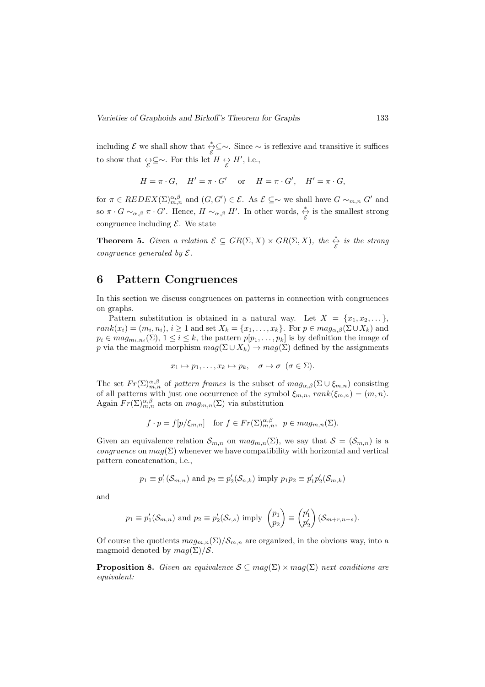including  $\mathcal E$  we shall show that  $\frac{*}{\mathcal E}$ ⊆∼. Since ~ is reflexive and transitive it suffices to show that  $\underset{\mathcal{E}}{\leftrightarrow} \subseteq \sim$ . For this let  $H \underset{\mathcal{E}}{\leftrightarrow} H'$ , i.e.,

$$
H = \pi \cdot G, \quad H' = \pi \cdot G' \quad \text{or} \quad H = \pi \cdot G', \quad H' = \pi \cdot G,
$$

for  $\pi \in REDEX(\Sigma)_{m,n}^{\alpha,\beta}$  and  $(G, G') \in \mathcal{E}$ . As  $\mathcal{E} \subseteq \sim$  we shall have  $G \sim_{m,n} G'$  and so  $\pi \cdot G \sim_{\alpha,\beta} \pi \cdot G'$ . Hence,  $H \sim_{\alpha,\beta} H'$ . In other words,  $\underset{\mathcal{E}}{\stackrel{*}{\leftrightarrow}}$  is the smallest strong congruence including  $\mathcal{E}$ . We state

**Theorem 5.** Given a relation  $\mathcal{E} \subseteq GR(\Sigma, X) \times GR(\Sigma, X)$ , the  $\stackrel{*}{\underset{\mathcal{E}}{\leftrightarrow}}$  is the strong congruence generated by  $\mathcal{E}.$ 

### 6 Pattern Congruences

In this section we discuss congruences on patterns in connection with congruences on graphs.

Pattern substitution is obtained in a natural way. Let  $X = \{x_1, x_2, \ldots\}$ ,  $rank(x_i) = (m_i, n_i), i \ge 1$  and set  $X_k = \{x_1, \ldots, x_k\}$ . For  $p \in mag_{\alpha,\beta}(\Sigma \cup X_k)$  and  $p_i \in mag_{m_i,n_i}(\Sigma), 1 \leq i \leq k$ , the pattern  $p[p_1,\ldots,p_k]$  is by definition the image of p via the magmoid morphism  $mag(\Sigma \cup X_k) \rightarrow mag(\Sigma)$  defined by the assignments

$$
x_1 \mapsto p_1, \dots, x_k \mapsto p_k, \quad \sigma \mapsto \sigma \ (\sigma \in \Sigma).
$$

The set  $Fr(\Sigma)_{m,n}^{\alpha,\beta}$  of pattern frames is the subset of  $mag_{\alpha,\beta}(\Sigma \cup \xi_{m,n})$  consisting of all patterns with just one occurrence of the symbol  $\xi_{m,n}$ ,  $rank(\xi_{m,n}) = (m,n)$ . Again  $Fr(\Sigma)_{m,n}^{\alpha,\beta}$  acts on  $mag_{m,n}(\Sigma)$  via substitution

$$
f \cdot p = f[p/\xi_{m,n}]
$$
 for  $f \in Fr(\Sigma)_{m,n}^{\alpha,\beta}$ ,  $p \in mag_{m,n}(\Sigma)$ .

Given an equivalence relation  $S_{m,n}$  on  $mag_{m,n}(\Sigma)$ , we say that  $S = (S_{m,n})$  is a *congruence* on  $mag(\Sigma)$  whenever we have compatibility with horizontal and vertical pattern concatenation, i.e.,

$$
p_1 \equiv p'_1(\mathcal{S}_{m,n})
$$
 and  $p_2 \equiv p'_2(\mathcal{S}_{n,k})$  imply  $p_1p_2 \equiv p'_1p'_2(\mathcal{S}_{m,k})$ 

and

$$
p_1 \equiv p'_1(\mathcal{S}_{m,n}) \text{ and } p_2 \equiv p'_2(\mathcal{S}_{r,s}) \text{ imply } \begin{pmatrix} p_1 \\ p_2 \end{pmatrix} \equiv \begin{pmatrix} p'_1 \\ p'_2 \end{pmatrix}(\mathcal{S}_{m+r,n+s}).
$$

Of course the quotients  $mag_{m,n}(\Sigma)/S_{m,n}$  are organized, in the obvious way, into a magmoid denoted by  $mag(\Sigma)/S$ .

**Proposition 8.** Given an equivalence  $S \subseteq mag(\Sigma) \times mag(\Sigma)$  next conditions are equivalent: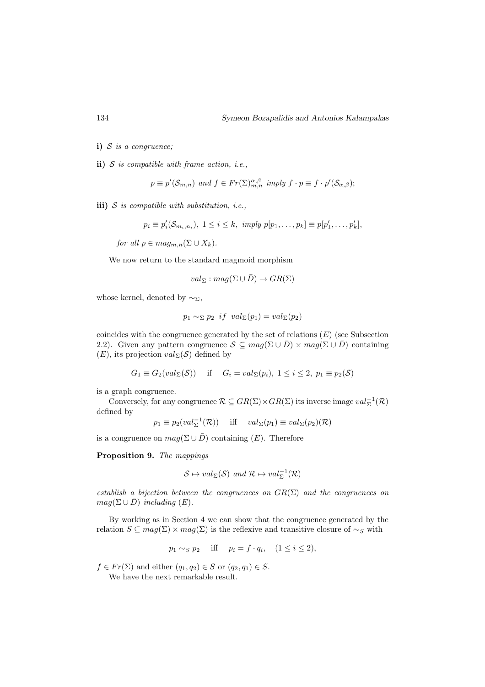i)  $S$  is a congruence;

ii)  $S$  is compatible with frame action, i.e.,

$$
p \equiv p'(\mathcal{S}_{m,n})
$$
 and  $f \in Fr(\Sigma)_{m,n}^{\alpha,\beta}$  imply  $f \cdot p \equiv f \cdot p'(\mathcal{S}_{\alpha,\beta})$ ;

iii)  $S$  is compatible with substitution, i.e.,

 $p_i \equiv p'_i(\mathcal{S}_{m_i,n_i}), \ 1 \leq i \leq k, \ imply \ p[p_1,\ldots,p_k] \equiv p[p'_1,\ldots,p'_k],$ 

for all  $p \in mag_{m,n}(\Sigma \cup X_k)$ .

We now return to the standard magmoid morphism

$$
val_{\Sigma}: mag(\Sigma\cup\bar{D})\to GR(\Sigma)
$$

whose kernel, denoted by  $\sim_{\Sigma}$ ,

$$
p_1 \sim_{\Sigma} p_2 \text{ if } val_{\Sigma}(p_1) = val_{\Sigma}(p_2)
$$

coincides with the congruence generated by the set of relations  $(E)$  (see Subsection 2.2). Given any pattern congruence  $S \subseteq mag(\Sigma \cup \overline{D}) \times mag(\Sigma \cup \overline{D})$  containing  $(E)$ , its projection  $val_{\Sigma}(S)$  defined by

$$
G_1 \equiv G_2(val_\Sigma(\mathcal{S}))
$$
 if  $G_i = val_\Sigma(p_i), 1 \leq i \leq 2, p_1 \equiv p_2(\mathcal{S})$ 

is a graph congruence.

Conversely, for any congruence  $\mathcal{R} \subseteq \text{GR}(\Sigma) \times \text{GR}(\Sigma)$  its inverse image  $val_{\Sigma}^{-1}(\mathcal{R})$ defined by

$$
p_1 \equiv p_2(val_{\Sigma}^{-1}(\mathcal{R}))
$$
 iff  $val_{\Sigma}(p_1) \equiv val_{\Sigma}(p_2)(\mathcal{R})$ 

is a congruence on  $mag(\Sigma \cup \overline{D})$  containing  $(E)$ . Therefore

Proposition 9. The mappings

$$
S \mapsto val_{\Sigma}(\mathcal{S}) \text{ and } \mathcal{R} \mapsto val_{\Sigma}^{-1}(\mathcal{R})
$$

establish a bijection between the congruences on  $GR(\Sigma)$  and the congruences on  $mag(\Sigma \cup \overline{D})$  including  $(E)$ .

By working as in Section 4 we can show that the congruence generated by the relation  $S \subseteq mag(\Sigma) \times mag(\Sigma)$  is the reflexive and transitive closure of  $\sim_S$  with

$$
p_1 \sim_S p_2 \quad \text{iff} \quad p_i = f \cdot q_i, \quad (1 \le i \le 2),
$$

 $f \in Fr(\Sigma)$  and either  $(q_1, q_2) \in S$  or  $(q_2, q_1) \in S$ .

We have the next remarkable result.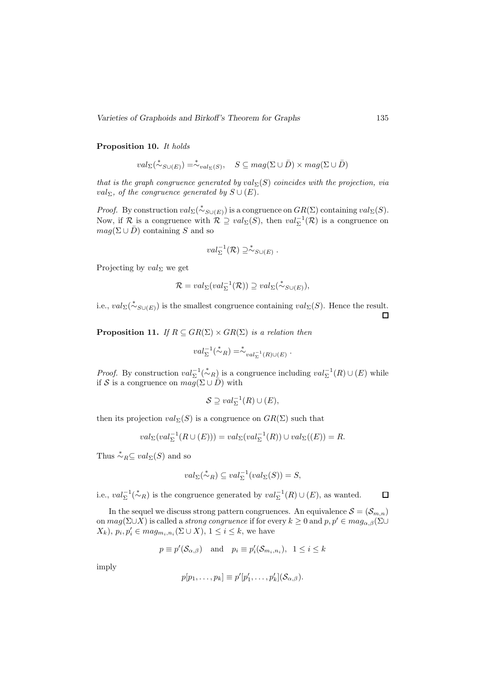Varieties of Graphoids and Birkoff's Theorem for Graphs 135

#### Proposition 10. It holds

$$
val_{\Sigma}(\stackrel{*}{\sim}_{S\cup(E)}) = \stackrel{*}{\sim}_{val_{\Sigma}(S)}, \quad S \subseteq mag(\Sigma \cup \bar{D}) \times mag(\Sigma \cup \bar{D})
$$

that is the graph congruence generated by  $val_{\Sigma}(S)$  coincides with the projection, via val<sub>Σ</sub>, of the congruence generated by  $S \cup (E)$ .

*Proof.* By construction  $val_{\Sigma}(\stackrel{*}{\sim}_{S\cup(E)})$  is a congruence on  $GR(\Sigma)$  containing  $val_{\Sigma}(S)$ . Now, if  $\mathcal{R}$  is a congruence with  $\mathcal{R} \supseteq val_{\Sigma}(S)$ , then  $val_{\Sigma}^{-1}(\mathcal{R})$  is a congruence on  $mag(\Sigma \cup \overline{D})$  containing S and so

$$
val_{\Sigma}^{-1}(\mathcal{R}) \supseteq \stackrel{*}{\sim}_{S\cup(E)}.
$$

Projecting by  $val_{\Sigma}$  we get

$$
\mathcal{R} = val_{\Sigma}(val_{\Sigma}^{-1}(\mathcal{R})) \supseteq val_{\Sigma}(\stackrel{*}{\sim}_{S\cup(E)}),
$$

i.e.,  $val_{\Sigma}(\stackrel{*}{\sim}_{S\cup(E)})$  is the smallest congruence containing  $val_{\Sigma}(S)$ . Hence the result.  $\Box$ 

**Proposition 11.** If  $R \subseteq \text{GR}(\Sigma) \times \text{GR}(\Sigma)$  is a relation then

$$
val_{\Sigma}^{-1}(\stackrel{*}{\sim}_R) = \stackrel{*}{\sim}_{val_{\Sigma}^{-1}(R) \cup (E)}.
$$

*Proof.* By construction  $val_{\Sigma}^{-1}(\stackrel{*}{\sim}_R)$  is a congruence including  $val_{\Sigma}^{-1}(R) \cup (E)$  while if S is a congruence on  $\overline{mag}(\Sigma \cup \overline{D})$  with

$$
\mathcal{S} \supseteq val_{\Sigma}^{-1}(R) \cup (E),
$$

then its projection  $val_{\Sigma}(S)$  is a congruence on  $GR(\Sigma)$  such that

$$
val_{\Sigma}(val_{\Sigma}^{-1}(R \cup (E)))=val_{\Sigma}(val_{\Sigma}^{-1}(R))\cup val_{\Sigma}((E))=R.
$$

Thus  $\stackrel{*}{\sim}_R \subseteq val_{\Sigma}(S)$  and so

$$
val_{\Sigma}(\stackrel{*}{\sim}_R) \subseteq val_{\Sigma}^{-1}(val_{\Sigma}(S)) = S,
$$

i.e.,  $val_{\Sigma}^{-1}(\stackrel{*}{\sim}_R)$  is the congruence generated by  $val_{\Sigma}^{-1}(R) \cup (E)$ , as wanted.

In the sequel we discuss strong pattern congruences. An equivalence  $S = (\mathcal{S}_{m,n})$ on  $mag(\Sigma \cup X)$  is called a *strong congruence* if for every  $k \geq 0$  and  $p, p' \in mag_{\alpha,\beta}(\Sigma \cup X)$  $(X_k)$ ,  $p_i, p'_i \in mag_{m_i, n_i}(\Sigma \cup X)$ ,  $1 \leq i \leq k$ , we have

$$
p \equiv p'(\mathcal{S}_{\alpha,\beta})
$$
 and  $p_i \equiv p'_i(\mathcal{S}_{m_i,n_i}), \ 1 \leq i \leq k$ 

imply

$$
p[p_1,\ldots,p_k] \equiv p'[p'_1,\ldots,p'_k](\mathcal{S}_{\alpha,\beta}).
$$

 $\Box$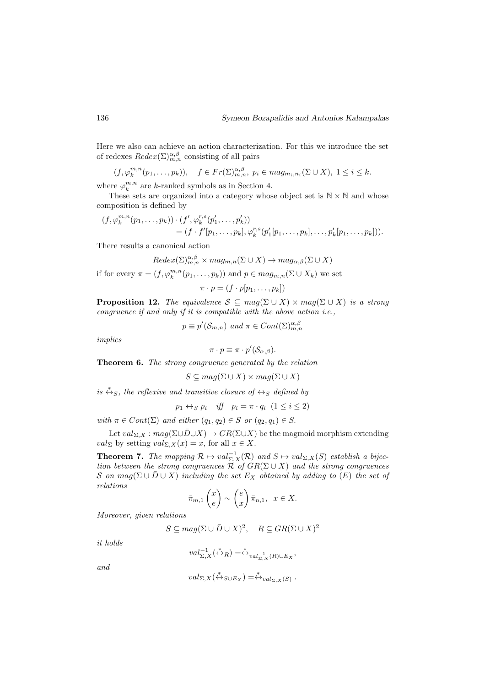Here we also can achieve an action characterization. For this we introduce the set of redexes  $Redex(\Sigma)_{m,n}^{\alpha,\beta}$  consisting of all pairs

$$
(f, \varphi_k^{m,n}(p_1,\ldots,p_k)), \quad f \in Fr(\Sigma)_{m,n}^{\alpha,\beta}, \ p_i \in mag_{m_i,n_i}(\Sigma \cup X), \ 1 \leq i \leq k.
$$

where  $\varphi_k^{m,n}$  are k-ranked symbols as in Section 4.

These sets are organized into a category whose object set is  $\mathbb{N} \times \mathbb{N}$  and whose composition is defined by

$$
(f, \varphi_k^{m,n}(p_1, \ldots, p_k)) \cdot (f', \varphi_k^{r,s}(p'_1, \ldots, p'_k))
$$
  
=  $(f \cdot f'[p_1, \ldots, p_k], \varphi_k^{r,s}(p'_1[p_1, \ldots, p_k], \ldots, p'_k[p_1, \ldots, p_k])).$ 

There results a canonical action

$$
Redex(\Sigma)_{m,n}^{\alpha,\beta} \times mag_{m,n}(\Sigma \cup X) \to mag_{\alpha,\beta}(\Sigma \cup X)
$$

if for every  $\pi = (f, \varphi_k^{m,n}(p_1, \ldots, p_k))$  and  $p \in mag_{m,n}(\Sigma \cup X_k)$  we set

$$
\pi \cdot p = (f \cdot p[p_1, \ldots, p_k])
$$

**Proposition 12.** The equivalence  $S \subseteq mag(\Sigma \cup X) \times mag(\Sigma \cup X)$  is a strong congruence if and only if it is compatible with the above action i.e.,

$$
p \equiv p'(\mathcal{S}_{m,n})
$$
 and  $\pi \in Cont(\Sigma)_{m,n}^{\alpha,\beta}$ 

implies

$$
\pi \cdot p \equiv \pi \cdot p'(\mathcal{S}_{\alpha,\beta}).
$$

Theorem 6. The strong congruence generated by the relation

$$
S \subseteq mag(\Sigma \cup X) \times mag(\Sigma \cup X)
$$

is  $\stackrel{*}{\leftrightarrow}_S$ , the reflexive and transitive closure of  $\leftrightarrow_S$  defined by

$$
p_1 \leftrightarrow_S p_i \quad \text{iff} \quad p_i = \pi \cdot q_i \ \ (1 \leq i \leq 2)
$$

with  $\pi \in Cont(\Sigma)$  and either  $(q_1, q_2) \in S$  or  $(q_2, q_1) \in S$ .

Let  $val_{\Sigma,X} : mag(\Sigma \cup \overline{D} \cup X) \rightarrow GR(\Sigma \cup X)$  be the magmoid morphism extending  $val_{\Sigma}$  by setting  $val_{\Sigma,X}(x) = x$ , for all  $x \in X$ .

**Theorem 7.** The mapping  $\mathcal{R} \mapsto val_{\Sigma,X}^{-1}(\mathcal{R})$  and  $S \mapsto val_{\Sigma,X}(S)$  establish a bijection between the strong congruences  $\mathcal R$  of  $GR(\Sigma \cup X)$  and the strong congruences S on  $mag(\Sigma \cup \overline{D} \cup X)$  including the set  $E_X$  obtained by adding to  $(E)$  the set of relations

$$
\bar{\pi}_{m,1}\begin{pmatrix}x\\e\end{pmatrix}\sim\begin{pmatrix}e\\x\end{pmatrix}\bar{\pi}_{n,1}, x\in X.
$$

Moreover, given relations

$$
S \subseteq mag(\Sigma \cup \overline{D} \cup X)^2, \quad R \subseteq GR(\Sigma \cup X)^2
$$

it holds

$$
val_{\Sigma,X}^{-1}(\stackrel{*}{\leftrightarrow}_R)=\stackrel{*}{\leftrightarrow}_{val_{\Sigma,X}^{-1}(R)\cup E_X},
$$

and

$$
val_{\Sigma,X}(\stackrel{*}{\leftrightarrow}_{S\cup E_X})=\stackrel{*}{\leftrightarrow}_{val_{\Sigma,X}(S)}.
$$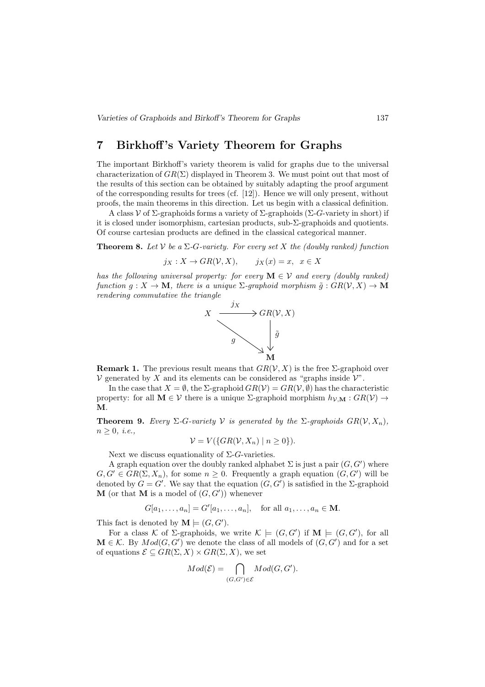# 7 Birkhoff 's Variety Theorem for Graphs

The important Birkhoff's variety theorem is valid for graphs due to the universal characterization of  $GR(\Sigma)$  displayed in Theorem 3. We must point out that most of the results of this section can be obtained by suitably adapting the proof argument of the corresponding results for trees (cf. [12]). Hence we will only present, without proofs, the main theorems in this direction. Let us begin with a classical definition.

A class  $\mathcal V$  of  $\Sigma$ -graphoids forms a variety of  $\Sigma$ -graphoids ( $\Sigma$ -G-variety in short) if it is closed under isomorphism, cartesian products, sub-Σ-graphoids and quotients. Of course cartesian products are defined in the classical categorical manner.

**Theorem 8.** Let V be a  $\Sigma$ -G-variety. For every set X the (doubly ranked) function

$$
j_X: X \to GR(\mathcal{V}, X), \qquad j_X(x) = x, \ \ x \in X
$$

has the following universal property: for every  $\mathbf{M} \in \mathcal{V}$  and every (doubly ranked) function  $q: X \to \mathbf{M}$ , there is a unique  $\Sigma$ -graphoid morphism  $\tilde{q}: GR(\mathcal{V}, X) \to \mathbf{M}$ rendering commutative the triangle



**Remark 1.** The previous result means that  $GR(V, X)$  is the free  $\Sigma$ -graphoid over  $V$  generated by X and its elements can be considered as "graphs inside  $V$ ".

In the case that  $X = \emptyset$ , the  $\Sigma$ -graphoid  $GR(V) = GR(V, \emptyset)$  has the characteristic property: for all  $\mathbf{M} \in \mathcal{V}$  there is a unique  $\Sigma$ -graphoid morphism  $h_{\mathcal{V},\mathbf{M}} : GR(\mathcal{V}) \to$ M.

**Theorem 9.** Every  $\Sigma$ -G-variety V is generated by the  $\Sigma$ -graphoids  $GR(V, X_n)$ ,  $n \geq 0$ , *i.e.*,

$$
\mathcal{V}=V(\{GR(\mathcal{V}, X_n) \mid n \geq 0\}).
$$

Next we discuss equationality of  $\Sigma$ -G-varieties.

A graph equation over the doubly ranked alphabet  $\Sigma$  is just a pair  $(G, G')$  where  $G, G' \in \text{GR}(\Sigma, X_n)$ , for some  $n \geq 0$ . Frequently a graph equation  $(G, G')$  will be denoted by  $G = G'$ . We say that the equation  $(G, G')$  is satisfied in the  $\Sigma$ -graphoid  $\mathbf M$  (or that  $\mathbf M$  is a model of  $(G, G')$ ) whenever

$$
G[a_1,\ldots,a_n]=G'[a_1,\ldots,a_n], \text{ for all } a_1,\ldots,a_n\in \mathbf{M}.
$$

This fact is denoted by  $\mathbf{M} \models (G, G')$ .

For a class K of  $\Sigma$ -graphoids, we write  $\mathcal{K} \models (G, G')$  if  $\mathbf{M} \models (G, G')$ , for all  $\mathbf{M} \in \mathcal{K}$ . By  $Mod(G, G')$  we denote the class of all models of  $(G, G')$  and for a set of equations  $\mathcal{E} \subseteq \text{GR}(\Sigma, X) \times \text{GR}(\Sigma, X)$ , we set

$$
Mod(\mathcal{E}) = \bigcap_{(G,G') \in \mathcal{E}} Mod(G,G').
$$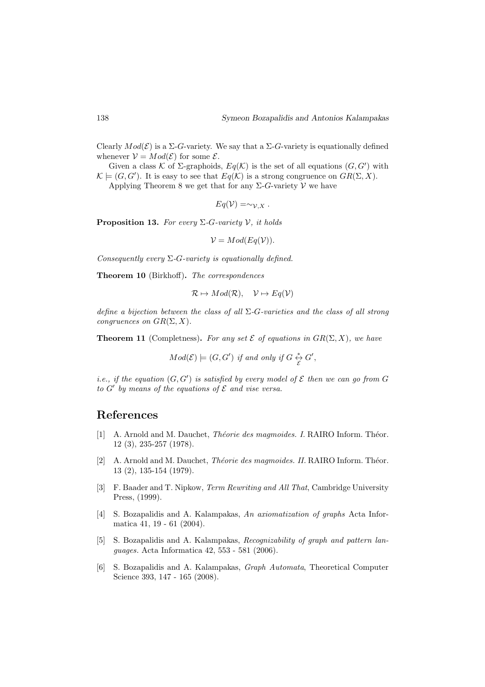Clearly  $Mod(\mathcal{E})$  is a  $\Sigma$ -G-variety. We say that a  $\Sigma$ -G-variety is equationally defined whenever  $V = Mod(\mathcal{E})$  for some  $\mathcal{E}$ .

Given a class K of  $\Sigma$ -graphoids,  $Eq(K)$  is the set of all equations  $(G, G')$  with  $\mathcal{K} \models (G, G')$ . It is easy to see that  $Eq(\mathcal{K})$  is a strong congruence on  $GR(\Sigma, X)$ .

Applying Theorem 8 we get that for any  $\Sigma$ -G-variety V we have

$$
Eq(\mathcal{V}) = \sim_{\mathcal{V}, X}.
$$

**Proposition 13.** For every  $\Sigma$ -G-variety V, it holds

 $V = Mod(Eq(V)).$ 

Consequently every  $\Sigma$ -G-variety is equationally defined.

Theorem 10 (Birkhoff). The correspondences

$$
\mathcal{R} \mapsto Mod(\mathcal{R}), \quad \mathcal{V} \mapsto Eq(\mathcal{V})
$$

define a bijection between the class of all  $\Sigma$ -G-varieties and the class of all strong congruences on  $GR(\Sigma, X)$ .

**Theorem 11** (Completness). For any set  $\mathcal E$  of equations in  $GR(\Sigma, X)$ , we have

$$
Mod(\mathcal{E}) \models (G, G') \text{ if and only if } G \overset{*}{\underset{\mathcal{E}}{\leftrightarrow}} G',
$$

*i.e.*, if the equation  $(G, G')$  is satisfied by every model of  $\mathcal E$  then we can go from  $G$ to  $G'$  by means of the equations of  $\mathcal E$  and vise versa.

# References

- [1] A. Arnold and M. Dauchet, *Théorie des magmoides. I.* RAIRO Inform. Théor. 12 (3), 235-257 (1978).
- [2] A. Arnold and M. Dauchet, *Théorie des magmoides. II.* RAIRO Inform. Théor. 13 (2), 135-154 (1979).
- [3] F. Baader and T. Nipkow, Term Rewriting and All That, Cambridge University Press, (1999).
- [4] S. Bozapalidis and A. Kalampakas, An axiomatization of graphs Acta Informatica 41, 19 - 61 (2004).
- [5] S. Bozapalidis and A. Kalampakas, Recognizability of graph and pattern languages. Acta Informatica 42, 553 - 581 (2006).
- [6] S. Bozapalidis and A. Kalampakas, Graph Automata, Theoretical Computer Science 393, 147 - 165 (2008).